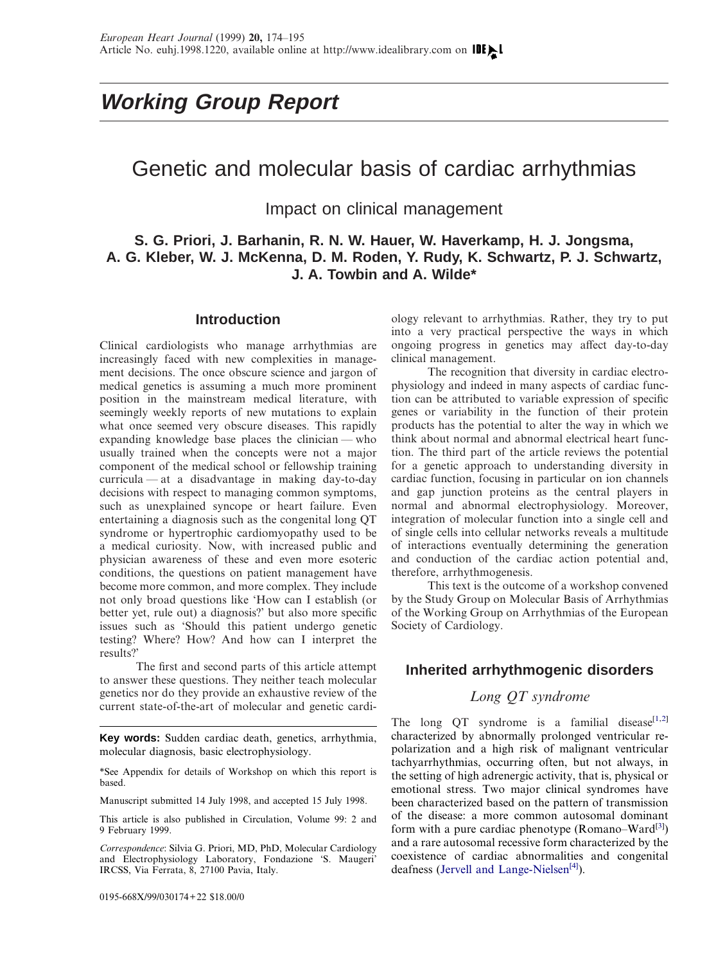# **Working Group Report**

# Genetic and molecular basis of cardiac arrhythmias

Impact on clinical management

# **S. G. Priori, J. Barhanin, R. N. W. Hauer, W. Haverkamp, H. J. Jongsma, A. G. Kleber, W. J. McKenna, D. M. Roden, Y. Rudy, K. Schwartz, P. J. Schwartz, J. A. Towbin and A. Wilde\***

## **Introduction**

Clinical cardiologists who manage arrhythmias are increasingly faced with new complexities in management decisions. The once obscure science and jargon of medical genetics is assuming a much more prominent position in the mainstream medical literature, with seemingly weekly reports of new mutations to explain what once seemed very obscure diseases. This rapidly expanding knowledge base places the clinician — who usually trained when the concepts were not a major component of the medical school or fellowship training curricula — at a disadvantage in making day-to-day decisions with respect to managing common symptoms, such as unexplained syncope or heart failure. Even entertaining a diagnosis such as the congenital long QT syndrome or hypertrophic cardiomyopathy used to be a medical curiosity. Now, with increased public and physician awareness of these and even more esoteric conditions, the questions on patient management have become more common, and more complex. They include not only broad questions like 'How can I establish (or better yet, rule out) a diagnosis?' but also more specific issues such as 'Should this patient undergo genetic testing? Where? How? And how can I interpret the results?'

The first and second parts of this article attempt to answer these questions. They neither teach molecular genetics nor do they provide an exhaustive review of the current state-of-the-art of molecular and genetic cardi-

**Key words:** Sudden cardiac death, genetics, arrhythmia, molecular diagnosis, basic electrophysiology.

\*See Appendix for details of Workshop on which this report is based.

Manuscript submitted 14 July 1998, and accepted 15 July 1998.

This article is also published in Circulation, Volume 99: 2 and 9 February 1999.

*Correspondence*: Silvia G. Priori, MD, PhD, Molecular Cardiology and Electrophysiology Laboratory, Fondazione 'S. Maugeri' IRCSS, Via Ferrata, 8, 27100 Pavia, Italy.

ology relevant to arrhythmias. Rather, they try to put into a very practical perspective the ways in which ongoing progress in genetics may affect day-to-day clinical management.

The recognition that diversity in cardiac electrophysiology and indeed in many aspects of cardiac function can be attributed to variable expression of specific genes or variability in the function of their protein products has the potential to alter the way in which we think about normal and abnormal electrical heart function. The third part of the article reviews the potential for a genetic approach to understanding diversity in cardiac function, focusing in particular on ion channels and gap junction proteins as the central players in normal and abnormal electrophysiology. Moreover, integration of molecular function into a single cell and of single cells into cellular networks reveals a multitude of interactions eventually determining the generation and conduction of the cardiac action potential and, therefore, arrhythmogenesis.

This text is the outcome of a workshop convened by the Study Group on Molecular Basis of Arrhythmias of the Working Group on Arrhythmias of the European Society of Cardiology.

### **Inherited arrhythmogenic disorders**

# *Long QT syndrome*

The long  $QT$  syndrome is a familial disease<sup>[[1,](#page-17-0)[2\]](#page-17-1)</sup> characterized by abnormally prolonged ventricular repolarization and a high risk of malignant ventricular tachyarrhythmias, occurring often, but not always, in the setting of high adrenergic activity, that is, physical or emotional stress. Two major clinical syndromes have been characterized based on the pattern of transmission of the disease: a more common autosomal dominant form with a pure cardiac phenotype (Romano–Ward<sup>[\[3\]](#page-17-2)</sup>) and a rare autosomal recessive form characterized by the coexistence of cardiac abnormalities and congenital deafness [\(Jervell and Lange-Nielsen](#page-17-3)<sup>[4]</sup>).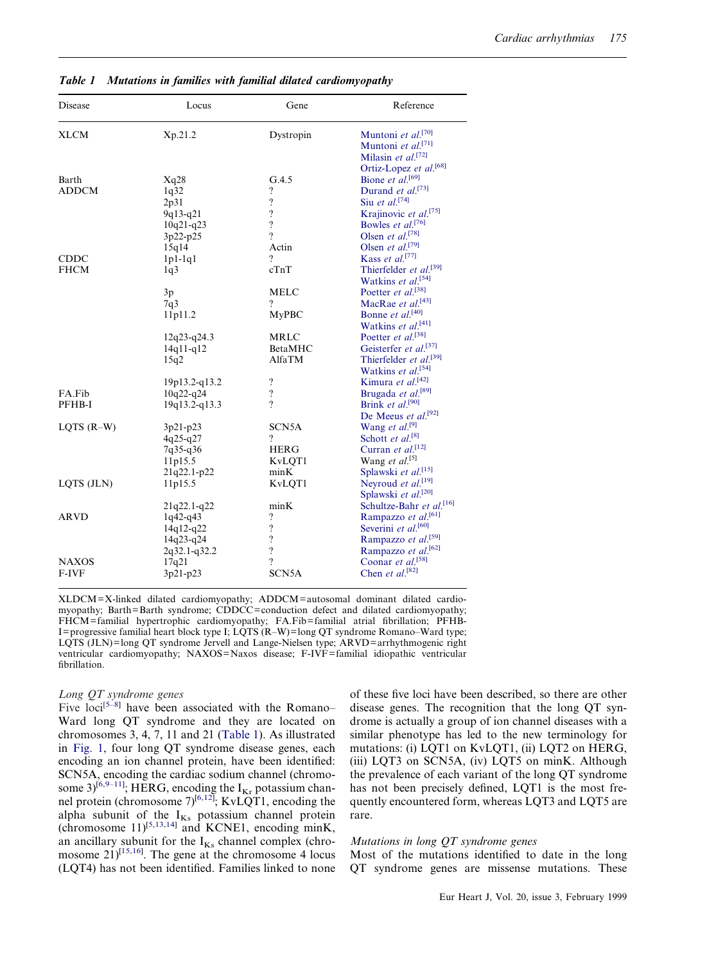| Disease                    | Locus                                                                   | Gene                                                                                           | Reference                                                                                                                                                                                                                   |
|----------------------------|-------------------------------------------------------------------------|------------------------------------------------------------------------------------------------|-----------------------------------------------------------------------------------------------------------------------------------------------------------------------------------------------------------------------------|
| <b>XLCM</b>                | Xp.21.2                                                                 | Dystropin                                                                                      | Muntoni et al. <sup>[70]</sup><br>Muntoni et al. <sup>[71]</sup><br>Milasin et al. <sup>[72]</sup>                                                                                                                          |
| Barth<br><b>ADDCM</b>      | Xq28<br>1q32<br>2p31<br>9q13-q21<br>$10q21-q23$<br>3p22-p25             | G.4.5<br>?<br>$\overline{\cdot}$<br>$\overline{\cdot}$<br>$\overline{\mathcal{L}}$<br>$\gamma$ | Ortiz-Lopez et al. <sup>[68]</sup><br>Bione et al. <sup>[69]</sup><br>Durand et al. <sup>[73]</sup><br>Siu et al. <sup>[74]</sup><br>Krajinovic et al.[75]<br>Bowles et al. <sup>[76]</sup><br>Olsen et al. <sup>[78]</sup> |
| <b>CDDC</b><br><b>FHCM</b> | 15q14<br>$1p1-1q1$<br>1q3                                               | Actin<br>9<br>cTnT                                                                             | Olsen et al. <sup>[79]</sup><br>Kass et al. <sup>[77]</sup><br>Thierfelder et al. <sup>[39]</sup><br>Watkins et al. <sup>[54]</sup>                                                                                         |
|                            | 3p<br>7q3<br>11p11.2                                                    | <b>MELC</b><br>?<br><b>MyPBC</b>                                                               | Poetter et al. <sup>[38]</sup><br>MacRae et al. <sup>[43]</sup><br>Bonne et al. <sup>[40]</sup><br>Watkins et al. <sup>[41]</sup>                                                                                           |
|                            | $12q23-q24.3$<br>$14q11-q12$<br>15q2                                    | MRLC<br>BetaMHC<br>AlfaTM                                                                      | Poetter et al. <sup>[38]</sup><br>Geisterfer et al. <sup>[37]</sup><br>Thierfelder et al. <sup>[39]</sup><br>Watkins et al. <sup>[54]</sup>                                                                                 |
| FA.Fib<br>PFHB-I           | 19p13.2-q13.2<br>$10q22-q24$<br>19q13.2-q13.3                           | $\overline{\mathcal{L}}$<br>$\overline{\mathcal{L}}$<br>$\gamma$                               | Kimura et al. <sup>[42]</sup><br>Brugada et al. <sup>[89]</sup><br>Brink et al. <sup>[90]</sup>                                                                                                                             |
| LQTS $(R-W)$               | $3p21-p23$<br>4q25-q27<br>7q35-q36<br>11p15.5<br>21q22.1-p22            | SCN5A<br>2<br><b>HERG</b><br>KvLQT1<br>$\min\!K$                                               | De Meeus et al. <sup>[92]</sup><br>Wang et al. <sup>[9]</sup><br>Schott et al. <sup>[8]</sup><br>Curran et al. <sup>[12]</sup><br>Wang et al. <sup>[5]</sup><br>Splawski et al.[15]                                         |
| LQTS (JLN)                 | 11p15.5                                                                 | KvLQT1                                                                                         | Neyroud et al. <sup>[19]</sup><br>Splawski et al. <sup>[20]</sup>                                                                                                                                                           |
| ARVD                       | $21q22.1-q22$<br>$1q42-q43$<br>$14q12-q22$<br>14q23-q24<br>2q32.1-q32.2 | minK<br>$\ddot{?}$<br>?<br>$\overline{\mathcal{L}}$<br>$\overline{\mathcal{L}}$                | Schultze-Bahr et al.[16]<br>Rampazzo et al.[61]<br>Severini et al. <sup>[60]</sup><br>Rampazzo et al.[59]<br>Rampazzo et al. <sup>[62]</sup>                                                                                |
| NAXOS<br>F-IVF             | 17q21<br>3p21-p23                                                       | ?<br>SCN5A                                                                                     | Coonar et al. <sup>[58]</sup><br>Chen et al. <sup>[82]</sup>                                                                                                                                                                |

<span id="page-1-0"></span>*Table 1 Mutations in families with familial dilated cardiomyopathy*

XLDCM=X-linked dilated cardiomyopathy; ADDCM=autosomal dominant dilated cardiomyopathy; Barth=Barth syndrome;  $\overrightarrow{CDDCC}$ =conduction defect and dilated cardiomyopathy; FHCM=familial hypertrophic cardiomyopathy; FA.Fib=familial atrial fibrillation; PFHB-I=progressive familial heart block type I; LQTS (R–W)=long QT syndrome Romano–Ward type; LQTS (JLN)=long QT syndrome Jervell and Lange-Nielsen type; ARVD=arrhythmogenic right ventricular cardiomyopathy; NAXOS=Naxos disease; F-IVF=familial idiopathic ventricular fibrillation.

### *Long QT syndrome genes*

Five  $\overline{{\rm loc}}$  loci<sup>[\[5](#page-17-4)-8]</sup> have been associated with the Romano– Ward long QT syndrome and they are located on chromosomes 3, 4, 7, 11 and 21 [\(Table 1\)](#page-1-0). As illustrated in [Fig. 1,](#page-2-0) four long QT syndrome disease genes, each encoding an ion channel protein, have been identified: SCN5A, encoding the cardiac sodium channel (chromo-some 3)<sup>[\[6](#page-17-6)[,9](#page-17-7)-11]</sup>; HERG, encoding the  $I_{Kr}$  potassium channel protein (chromosome  $7$ <sup>[\[6](#page-17-6)[,12\]](#page-17-9)</sup>; KvLQT1, encoding the alpha subunit of the  $I_{Ks}$  potassium channel protein (chromosome  $11$ )<sup>[\[5,](#page-17-4)13[,14\]](#page-17-10)</sup> and KCNE1, encoding minK, an ancillary subunit for the  $I_{Ks}$  channel complex (chromosome  $21$ )<sup>[\[15](#page-17-11)[,16\]](#page-17-12)</sup>. The gene at the chromosome 4 locus (LQT4) has not been identified. Families linked to none of these five loci have been described, so there are other disease genes. The recognition that the long QT syndrome is actually a group of ion channel diseases with a similar phenotype has led to the new terminology for mutations: (i) LQT1 on KvLQT1, (ii) LQT2 on HERG, (iii) LQT3 on SCN5A, (iv) LQT5 on minK. Although the prevalence of each variant of the long QT syndrome has not been precisely defined, LQT1 is the most frequently encountered form, whereas LQT3 and LQT5 are rare.

### *Mutations in long QT syndrome genes*

Most of the mutations identified to date in the long QT syndrome genes are missense mutations. These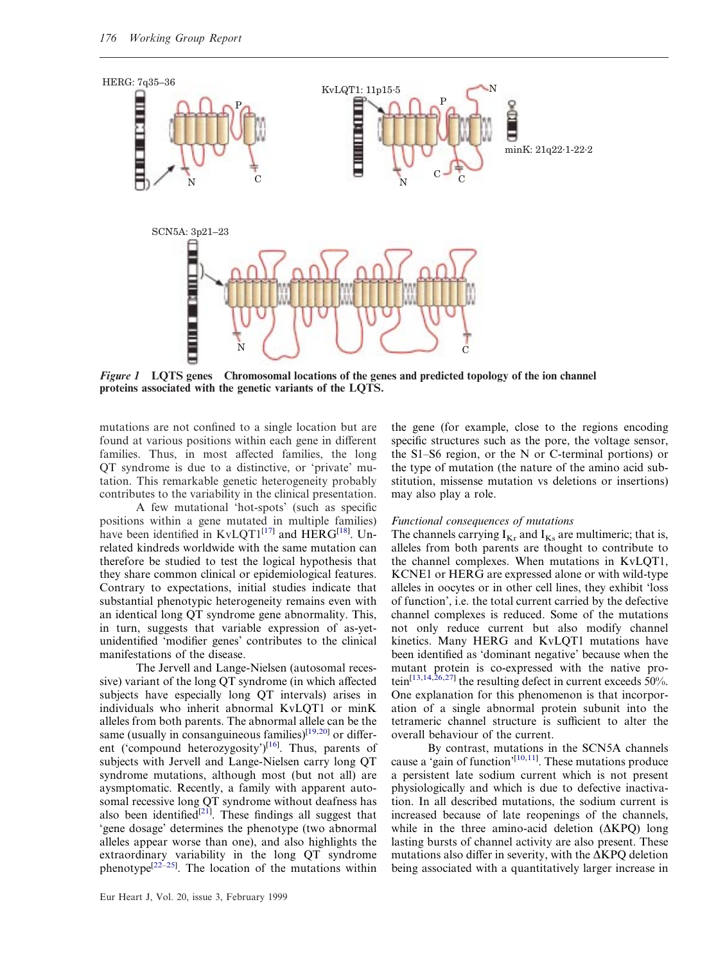

<span id="page-2-0"></span>*Figure 1* **LQTS genes Chromosomal locations of the genes and predicted topology of the ion channel proteins associated with the genetic variants of the LQTS.**

mutations are not confined to a single location but are found at various positions within each gene in different families. Thus, in most affected families, the long QT syndrome is due to a distinctive, or 'private' mutation. This remarkable genetic heterogeneity probably contributes to the variability in the clinical presentation.

A few mutational 'hot-spots' (such as specific positions within a gene mutated in multiple families) have been identified in  $KvLQT1^{[17]}$  $KvLQT1^{[17]}$  $KvLQT1^{[17]}$  and  $HERG^{[18]}$  $HERG^{[18]}$  $HERG^{[18]}$ . Unrelated kindreds worldwide with the same mutation can therefore be studied to test the logical hypothesis that they share common clinical or epidemiological features. Contrary to expectations, initial studies indicate that substantial phenotypic heterogeneity remains even with an identical long QT syndrome gene abnormality. This, in turn, suggests that variable expression of as-yetunidentified 'modifier genes' contributes to the clinical manifestations of the disease.

The Jervell and Lange-Nielsen (autosomal recessive) variant of the long QT syndrome (in which affected subjects have especially long QT intervals) arises in individuals who inherit abnormal KvLQT1 or minK alleles from both parents. The abnormal allele can be the same (usually in consanguineous families) $[19,20]$  $[19,20]$  or differ-ent ('compound heterozygosity')<sup>[\[16\]](#page-17-12)</sup>. Thus, parents of subjects with Jervell and Lange-Nielsen carry long QT syndrome mutations, although most (but not all) are aysmptomatic. Recently, a family with apparent autosomal recessive long QT syndrome without deafness has also been identified $[21]$ . These findings all suggest that 'gene dosage' determines the phenotype (two abnormal alleles appear worse than one), and also highlights the extraordinary variability in the long QT syndrome phenotype<sup>[\[22](#page-18-12)[–25\]](#page-18-13)</sup>. The location of the mutations within

the gene (for example, close to the regions encoding specific structures such as the pore, the voltage sensor, the S1–S6 region, or the N or C-terminal portions) or the type of mutation (the nature of the amino acid substitution, missense mutation vs deletions or insertions) may also play a role.

#### *Functional consequences of mutations*

The channels carrying  $I_{Kr}$  and  $I_{Ks}$  are multimeric; that is, alleles from both parents are thought to contribute to the channel complexes. When mutations in KvLQT1, KCNE1 or HERG are expressed alone or with wild-type alleles in oocytes or in other cell lines, they exhibit 'loss of function', i.e. the total current carried by the defective channel complexes is reduced. Some of the mutations not only reduce current but also modify channel kinetics. Many HERG and KvLQT1 mutations have been identified as 'dominant negative' because when the mutant protein is co-expressed with the native pro-tein<sup>[13[,14](#page-17-10)[,26](#page-18-14)[,27\]](#page-18-15)</sup> the resulting defect in current exceeds  $\frac{50}{%}$ . One explanation for this phenomenon is that incorporation of a single abnormal protein subunit into the tetrameric channel structure is sufficient to alter the overall behaviour of the current.

By contrast, mutations in the SCN5A channels cause a 'gain of function'<sup>[\[10](#page-17-15)[,11\]](#page-17-8)</sup>. These mutations produce a persistent late sodium current which is not present physiologically and which is due to defective inactivation. In all described mutations, the sodium current is increased because of late reopenings of the channels, while in the three amino-acid deletion  $(\Delta KPO)$  long lasting bursts of channel activity are also present. These mutations also differ in severity, with the  $\Delta$ KPQ deletion being associated with a quantitatively larger increase in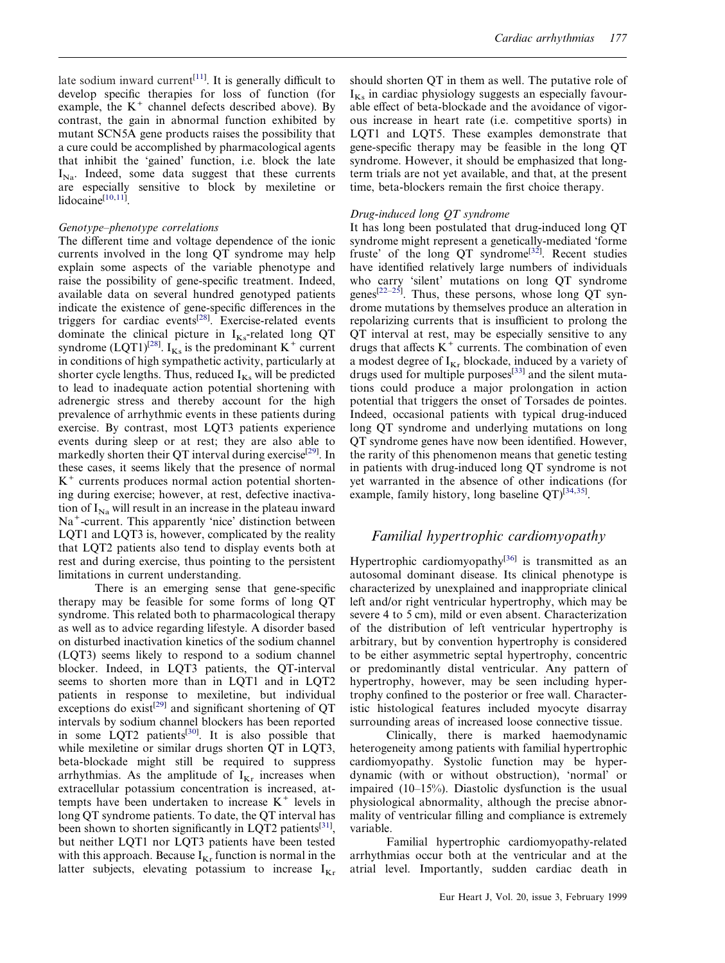late sodium inward current<sup>[\[11\]](#page-17-8)</sup>. It is generally difficult to develop specific therapies for loss of function (for example, the  $K^+$  channel defects described above). By contrast, the gain in abnormal function exhibited by mutant SCN5A gene products raises the possibility that a cure could be accomplished by pharmacological agents that inhibit the 'gained' function, i.e. block the late  $I_{\text{Na}}$ . Indeed, some data suggest that these currents are especially sensitive to block by mexiletine or lidocaine $[10, 11]$  $[10, 11]$ .

#### *Genotype–phenotype correlations*

The different time and voltage dependence of the ionic currents involved in the long QT syndrome may help explain some aspects of the variable phenotype and raise the possibility of gene-specific treatment. Indeed, available data on several hundred genotyped patients indicate the existence of gene-specific differences in the triggers for cardiac events<sup>[\[28\]](#page-18-16)</sup>. Exercise-related events dominate the clinical picture in  $I_{Ks}$ -related long QT syndrome (LQT1)<sup>[\[28\]](#page-18-16)</sup>.  $I_{Ks}$  is the predominant K<sup>+</sup> current in conditions of high sympathetic activity, particularly at shorter cycle lengths. Thus, reduced  $I_{Ks}$  will be predicted to lead to inadequate action potential shortening with adrenergic stress and thereby account for the high prevalence of arrhythmic events in these patients during exercise. By contrast, most LQT3 patients experience events during sleep or at rest; they are also able to markedly shorten their QT interval during exercise<sup>[\[29\]](#page-18-17)</sup>. In these cases, it seems likely that the presence of normal  $K^+$  currents produces normal action potential shortening during exercise; however, at rest, defective inactivation of  $I_{N_a}$  will result in an increase in the plateau inward Na<sup>+</sup>-current. This apparently 'nice' distinction between LQT1 and LQT3 is, however, complicated by the reality that LQT2 patients also tend to display events both at rest and during exercise, thus pointing to the persistent limitations in current understanding.

There is an emerging sense that gene-specific therapy may be feasible for some forms of long QT syndrome. This related both to pharmacological therapy as well as to advice regarding lifestyle. A disorder based on disturbed inactivation kinetics of the sodium channel (LQT3) seems likely to respond to a sodium channel blocker. Indeed, in LQT3 patients, the QT-interval seems to shorten more than in LQT1 and in LQT2 patients in response to mexiletine, but individual exceptions do exist<sup>[\[29\]](#page-18-17)</sup> and significant shortening of  $\overline{QT}$ intervals by sodium channel blockers has been reported in some LQT2 patients<sup>[\[30\]](#page-18-18)</sup>. It is also possible that while mexiletine or similar drugs shorten QT in LQT3, beta-blockade might still be required to suppress arrhythmias. As the amplitude of  $I_{Kr}$  increases when extracellular potassium concentration is increased, attempts have been undertaken to increase  $K^+$  levels in long QT syndrome patients. To date, the QT interval has been shown to shorten significantly in LQT2 patients<sup>[\[31\]](#page-18-19)</sup>, but neither LQT1 nor LQT3 patients have been tested with this approach. Because  $I_{Kr}$  function is normal in the latter subjects, elevating potassium to increase  $I_{Kr}$ 

should shorten QT in them as well. The putative role of  $I_{Ks}$  in cardiac physiology suggests an especially favourable effect of beta-blockade and the avoidance of vigorous increase in heart rate (i.e. competitive sports) in LQT1 and LQT5. These examples demonstrate that gene-specific therapy may be feasible in the long QT syndrome. However, it should be emphasized that longterm trials are not yet available, and that, at the present time, beta-blockers remain the first choice therapy.

#### *Drug-induced long QT syndrome*

It has long been postulated that drug-induced long QT syndrome might represent a genetically-mediated 'forme fruste' of the long QT syndrome<sup>[\[32\]](#page-18-20)</sup>. Recent studies have identified relatively large numbers of individuals who carry 'silent' mutations on long QT syndrome genes<sup>[\[22](#page-18-12)[–25\]](#page-18-13)</sup>. Thus, these persons, whose long  $\overline{QT}$  syndrome mutations by themselves produce an alteration in repolarizing currents that is insufficient to prolong the QT interval at rest, may be especially sensitive to any drugs that affects  $K^+$  currents. The combination of even a modest degree of  $I_{K_r}$  blockade, induced by a variety of drugs used for multiple purposes<sup>[\[33\]](#page-18-21)</sup> and the silent mutations could produce a major prolongation in action potential that triggers the onset of Torsades de pointes. Indeed, occasional patients with typical drug-induced long QT syndrome and underlying mutations on long QT syndrome genes have now been identified. However, the rarity of this phenomenon means that genetic testing in patients with drug-induced long QT syndrome is not yet warranted in the absence of other indications (for example, family history, long baseline QT)<sup>[\[34](#page-18-22)[,35\]](#page-18-23)</sup>.

### *Familial hypertrophic cardiomyopathy*

Hypertrophic cardiomyopathy<sup>[\[36\]](#page-18-24)</sup> is transmitted as an autosomal dominant disease. Its clinical phenotype is characterized by unexplained and inappropriate clinical left and/or right ventricular hypertrophy, which may be severe 4 to 5 cm), mild or even absent. Characterization of the distribution of left ventricular hypertrophy is arbitrary, but by convention hypertrophy is considered to be either asymmetric septal hypertrophy, concentric or predominantly distal ventricular. Any pattern of hypertrophy, however, may be seen including hypertrophy confined to the posterior or free wall. Characteristic histological features included myocyte disarray surrounding areas of increased loose connective tissue.

Clinically, there is marked haemodynamic heterogeneity among patients with familial hypertrophic cardiomyopathy. Systolic function may be hyperdynamic (with or without obstruction), 'normal' or impaired (10–15%). Diastolic dysfunction is the usual physiological abnormality, although the precise abnormality of ventricular filling and compliance is extremely variable.

Familial hypertrophic cardiomyopathy-related arrhythmias occur both at the ventricular and at the atrial level. Importantly, sudden cardiac death in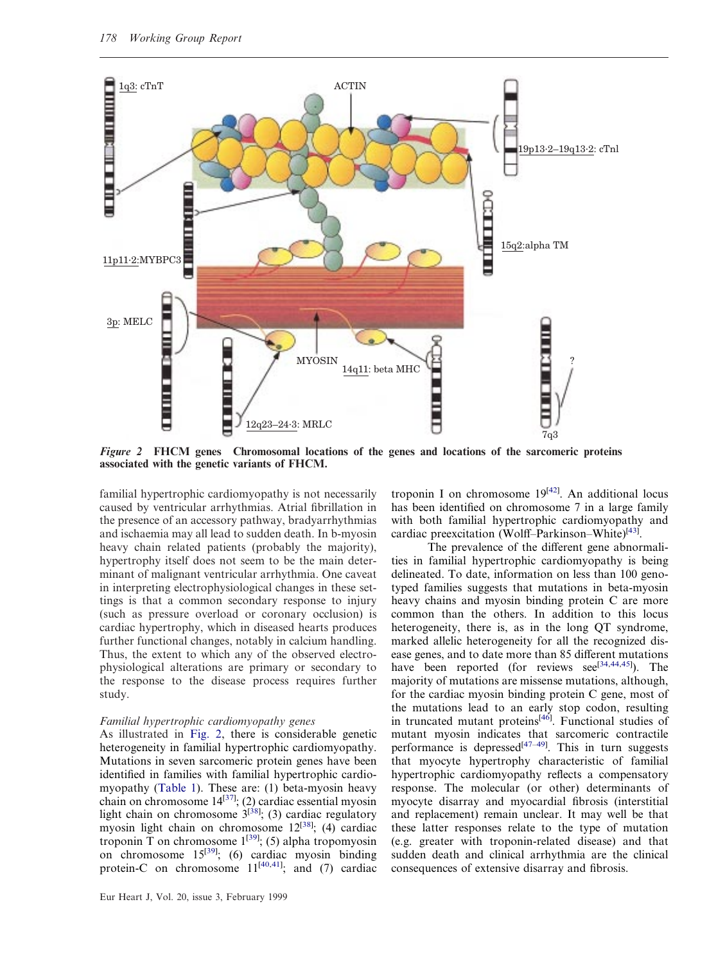

<span id="page-4-0"></span>*Figure 2* **FHCM genes Chromosomal locations of the genes and locations of the sarcomeric proteins associated with the genetic variants of FHCM.**

familial hypertrophic cardiomyopathy is not necessarily caused by ventricular arrhythmias. Atrial fibrillation in the presence of an accessory pathway, bradyarrhythmias and ischaemia may all lead to sudden death. In b-myosin heavy chain related patients (probably the majority), hypertrophy itself does not seem to be the main determinant of malignant ventricular arrhythmia. One caveat in interpreting electrophysiological changes in these settings is that a common secondary response to injury (such as pressure overload or coronary occlusion) is cardiac hypertrophy, which in diseased hearts produces further functional changes, notably in calcium handling. Thus, the extent to which any of the observed electrophysiological alterations are primary or secondary to the response to the disease process requires further study.

#### *Familial hypertrophic cardiomyopathy genes*

As illustrated in [Fig. 2,](#page-4-0) there is considerable genetic heterogeneity in familial hypertrophic cardiomyopathy. Mutations in seven sarcomeric protein genes have been identified in families with familial hypertrophic cardiomyopathy [\(Table 1\)](#page-1-0). These are: (1) beta-myosin heavy chain on chromosome  $14^{[37]}$  $14^{[37]}$  $14^{[37]}$ ; (2) cardiac essential myosin light chain on chromosome  $3^{[38]}$  $3^{[38]}$  $3^{[38]}$ ; (3) cardiac regulatory myosin light chain on chromosome  $12^{[38]}$  $12^{[38]}$  $12^{[38]}$ ; (4) cardiac troponin  $\overline{T}$  on chromosome  $1^{[39]}$  $1^{[39]}$  $1^{[39]}$ ; (5) alpha tropomyosin on chromosome 15<sup>[\[39\]](#page-18-0)</sup>; (6) cardiac myosin binding protein-C on chromosome  $11^{[40,41]}$  $11^{[40,41]}$  $11^{[40,41]}$  $11^{[40,41]}$ ; and (7) cardiac

troponin I on chromosome  $19^{[42]}$  $19^{[42]}$  $19^{[42]}$ . An additional locus has been identified on chromosome 7 in a large family with both familial hypertrophic cardiomyopathy and cardiac preexcitation (Wolff-Parkinson-White)<sup>[\[43\]](#page-18-3)</sup>.

The prevalence of the different gene abnormalities in familial hypertrophic cardiomyopathy is being delineated. To date, information on less than 100 genotyped families suggests that mutations in beta-myosin heavy chains and myosin binding protein C are more common than the others. In addition to this locus heterogeneity, there is, as in the long QT syndrome, marked allelic heterogeneity for all the recognized disease genes, and to date more than 85 different mutations have been reported (for reviews see<sup>[\[34](#page-18-22)[,44](#page-18-25)[,45\]](#page-18-26)</sup>). The majority of mutations are missense mutations, although, for the cardiac myosin binding protein C gene, most of the mutations lead to an early stop codon, resulting in truncated mutant proteins<sup>[\[46\]](#page-18-27)</sup>. Functional studies of mutant myosin indicates that sarcomeric contractile performance is depressed $[47-49]$  $[47-49]$ . This in turn suggests that myocyte hypertrophy characteristic of familial hypertrophic cardiomyopathy reflects a compensatory response. The molecular (or other) determinants of myocyte disarray and myocardial fibrosis (interstitial and replacement) remain unclear. It may well be that these latter responses relate to the type of mutation (e.g. greater with troponin-related disease) and that sudden death and clinical arrhythmia are the clinical consequences of extensive disarray and fibrosis.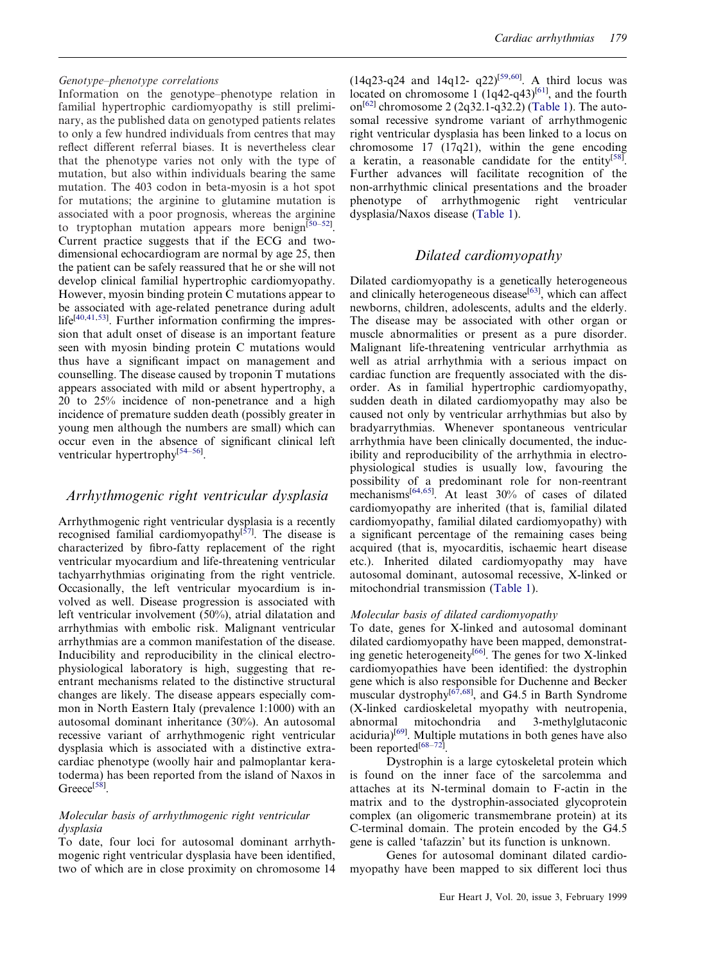#### *Genotype–phenotype correlations*

Information on the genotype–phenotype relation in familial hypertrophic cardiomyopathy is still preliminary, as the published data on genotyped patients relates to only a few hundred individuals from centres that may reflect different referral biases. It is nevertheless clear that the phenotype varies not only with the type of mutation, but also within individuals bearing the same mutation. The 403 codon in beta-myosin is a hot spot for mutations; the arginine to glutamine mutation is associated with a poor prognosis, whereas the arginine to tryptophan mutation appears more benign $^{\left[50-52\right]}$ . Current practice suggests that if the ECG and twodimensional echocardiogram are normal by age 25, then the patient can be safely reassured that he or she will not develop clinical familial hypertrophic cardiomyopathy. However, myosin binding protein C mutations appear to be associated with age-related penetrance during adult life<sup>[\[40](#page-18-4)[,41](#page-18-5)[,53\]](#page-18-31)</sup>. Further information confirming the impression that adult onset of disease is an important feature seen with myosin binding protein C mutations would thus have a significant impact on management and counselling. The disease caused by troponin T mutations appears associated with mild or absent hypertrophy, a 20 to 25% incidence of non-penetrance and a high incidence of premature sudden death (possibly greater in young men although the numbers are small) which can occur even in the absence of significant clinical left ventricular hypertrophy<sup>[\[54](#page-18-1)-56]</sup>.

### *Arrhythmogenic right ventricular dysplasia*

Arrhythmogenic right ventricular dysplasia is a recently recognised familial cardiomyopathy $[57]$ . The disease is characterized by fibro-fatty replacement of the right ventricular myocardium and life-threatening ventricular tachyarrhythmias originating from the right ventricle. Occasionally, the left ventricular myocardium is involved as well. Disease progression is associated with left ventricular involvement (50%), atrial dilatation and arrhythmias with embolic risk. Malignant ventricular arrhythmias are a common manifestation of the disease. Inducibility and reproducibility in the clinical electrophysiological laboratory is high, suggesting that reentrant mechanisms related to the distinctive structural changes are likely. The disease appears especially common in North Eastern Italy (prevalence 1:1000) with an autosomal dominant inheritance (30%). An autosomal recessive variant of arrhythmogenic right ventricular dysplasia which is associated with a distinctive extracardiac phenotype (woolly hair and palmoplantar keratoderma) has been reported from the island of Naxos in Greece<sup>[\[58\]](#page-18-10)</sup>.

### *Molecular basis of arrhythmogenic right ventricular dysplasia*

To date, four loci for autosomal dominant arrhythmogenic right ventricular dysplasia have been identified, two of which are in close proximity on chromosome 14

 $(14q23-q24$  and  $14q12 - q22)^{59,60}$ . A third locus was located on chromosome  $1(1q42-q43)^{[61]}$  $1(1q42-q43)^{[61]}$  $1(1q42-q43)^{[61]}$ , and the fourth on<sup>[\[62\]](#page-19-18)</sup> chromosome 2 (2q32.1-q32.2) [\(Table 1\)](#page-1-0). The autosomal recessive syndrome variant of arrhythmogenic right ventricular dysplasia has been linked to a locus on chromosome 17 (17q21), within the gene encoding a keratin, a reasonable candidate for the entity<sup>[\[58\]](#page-18-10)</sup>. Further advances will facilitate recognition of the non-arrhythmic clinical presentations and the broader phenotype of arrhythmogenic right ventricular dysplasia/Naxos disease [\(Table 1\)](#page-1-0).

### *Dilated cardiomyopathy*

Dilated cardiomyopathy is a genetically heterogeneous and clinically heterogeneous disease<sup>[\[63\]](#page-19-20)</sup>, which can affect newborns, children, adolescents, adults and the elderly. The disease may be associated with other organ or muscle abnormalities or present as a pure disorder. Malignant life-threatening ventricular arrhythmia as well as atrial arrhythmia with a serious impact on cardiac function are frequently associated with the disorder. As in familial hypertrophic cardiomyopathy, sudden death in dilated cardiomyopathy may also be caused not only by ventricular arrhythmias but also by bradyarrythmias. Whenever spontaneous ventricular arrhythmia have been clinically documented, the inducibility and reproducibility of the arrhythmia in electrophysiological studies is usually low, favouring the possibility of a predominant role for non-reentrant mechanisms<sup>[\[64](#page-19-21)[,65\]](#page-19-22)</sup>. At least 30% of cases of dilated cardiomyopathy are inherited (that is, familial dilated cardiomyopathy, familial dilated cardiomyopathy) with a significant percentage of the remaining cases being acquired (that is, myocarditis, ischaemic heart disease etc.). Inherited dilated cardiomyopathy may have autosomal dominant, autosomal recessive, X-linked or mitochondrial transmission [\(Table 1\)](#page-1-0).

#### *Molecular basis of dilated cardiomyopathy*

To date, genes for X-linked and autosomal dominant dilated cardiomyopathy have been mapped, demonstrat-ing genetic heterogeneity<sup>[\[66\]](#page-19-23)</sup>. The genes for two X-linked cardiomyopathies have been identified: the dystrophin gene which is also responsible for Duchenne and Becker muscular dystrophy $[67, 68]$  $[67, 68]$ , and G4.5 in Barth Syndrome (X-linked cardioskeletal myopathy with neutropenia, abnormal mitochondria and 3-methylglutaconic aciduria)<sup>[\[69\]](#page-19-4)</sup>. Multiple mutations in both genes have also been reported<sup>[\[68](#page-19-3)-72]</sup>.

Dystrophin is a large cytoskeletal protein which is found on the inner face of the sarcolemma and attaches at its N-terminal domain to F-actin in the matrix and to the dystrophin-associated glycoprotein complex (an oligomeric transmembrane protein) at its C-terminal domain. The protein encoded by the G4.5 gene is called 'tafazzin' but its function is unknown.

Genes for autosomal dominant dilated cardiomyopathy have been mapped to six different loci thus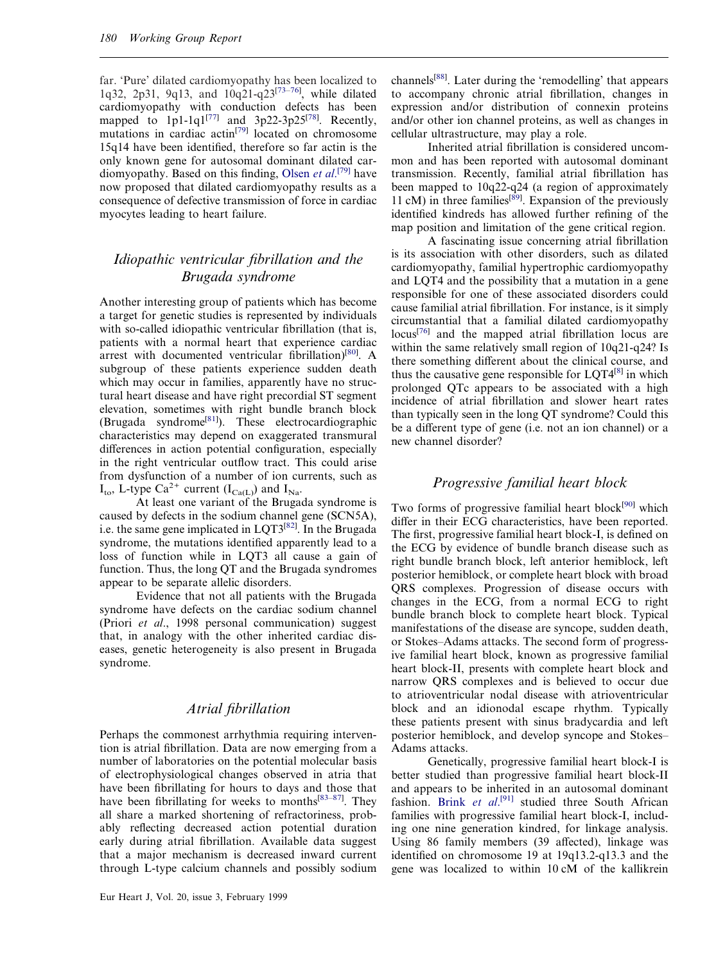far. 'Pure' dilated cardiomyopathy has been localized to 1q32, 2p31, 9q13, and  $10q^2$ 1-q23<sup>[\[73](#page-19-5)-76]</sup>, while dilated cardiomyopathy with conduction defects has been mapped to  $1p1-1q1^{[77]}$  $1p1-1q1^{[77]}$  $1p1-1q1^{[77]}$  and  $3p22-3p25^{[78]}$  $3p22-3p25^{[78]}$  $3p22-3p25^{[78]}$ . Recently, mutations in cardiac actin<sup>[\[79\]](#page-19-10)</sup> located on chromosome 15q14 have been identified, therefore so far actin is the only known gene for autosomal dominant dilated cardiomyopathy. Based on this finding, [Olsen](#page-19-10) *et al*. [79] have now proposed that dilated cardiomyopathy results as a consequence of defective transmission of force in cardiac myocytes leading to heart failure.

# *Idiopathic ventricular fibrillation and the Brugada syndrome*

Another interesting group of patients which has become a target for genetic studies is represented by individuals with so-called idiopathic ventricular fibrillation (that is, patients with a normal heart that experience cardiac arrest with documented ventricular fibrillation)<sup>[\[80\]](#page-19-25)</sup>. A subgroup of these patients experience sudden death which may occur in families, apparently have no structural heart disease and have right precordial ST segment elevation, sometimes with right bundle branch block (Brugada syndrome<sup>[\[81\]](#page-19-26)</sup>). These electrocardiographic characteristics may depend on exaggerated transmural differences in action potential configuration, especially in the right ventricular outflow tract. This could arise from dysfunction of a number of ion currents, such as  $I_{\text{to}}$ , L-type Ca<sup>2+</sup> current (I<sub>Ca(L)</sub>) and I<sub>Na</sub>.

At least one variant of the Brugada syndrome is caused by defects in the sodium channel gene (SCN5A), i.e. the same gene implicated in LQT3[\[82\]](#page-19-19) . In the Brugada syndrome, the mutations identified apparently lead to a loss of function while in LQT3 all cause a gain of function. Thus, the long QT and the Brugada syndromes appear to be separate allelic disorders.

Evidence that not all patients with the Brugada syndrome have defects on the cardiac sodium channel (Priori *et al*., 1998 personal communication) suggest that, in analogy with the other inherited cardiac diseases, genetic heterogeneity is also present in Brugada syndrome.

### *Atrial fibrillation*

Perhaps the commonest arrhythmia requiring intervention is atrial fibrillation. Data are now emerging from a number of laboratories on the potential molecular basis of electrophysiological changes observed in atria that have been fibrillating for hours to days and those that have been fibrillating for weeks to months<sup>[\[83](#page-19-27)-87]</sup>. They all share a marked shortening of refractoriness, probably reflecting decreased action potential duration early during atrial fibrillation. Available data suggest that a major mechanism is decreased inward current through L-type calcium channels and possibly sodium

channels<sup>[\[88\]](#page-19-29)</sup>. Later during the 'remodelling' that appears to accompany chronic atrial fibrillation, changes in expression and/or distribution of connexin proteins and/or other ion channel proteins, as well as changes in cellular ultrastructure, may play a role.

Inherited atrial fibrillation is considered uncommon and has been reported with autosomal dominant transmission. Recently, familial atrial fibrillation has been mapped to 10q22-q24 (a region of approximately 11 cM) in three families<sup>[\[89\]](#page-19-12)</sup>. Expansion of the previously identified kindreds has allowed further refining of the map position and limitation of the gene critical region.

A fascinating issue concerning atrial fibrillation is its association with other disorders, such as dilated cardiomyopathy, familial hypertrophic cardiomyopathy and LQT4 and the possibility that a mutation in a gene responsible for one of these associated disorders could cause familial atrial fibrillation. For instance, is it simply circumstantial that a familial dilated cardiomyopathy locus<sup>[\[76\]](#page-19-8)</sup> and the mapped atrial fibrillation locus are within the same relatively small region of 10q21-q24? Is there something different about the clinical course, and thus the causative gene responsible for LQT4<sup>[\[8\]](#page-17-5)</sup> in which prolonged QTc appears to be associated with a high incidence of atrial fibrillation and slower heart rates than typically seen in the long QT syndrome? Could this be a different type of gene (i.e. not an ion channel) or a new channel disorder?

### *Progressive familial heart block*

Two forms of progressive familial heart block<sup>[\[90\]](#page-19-13)</sup> which differ in their ECG characteristics, have been reported. The first, progressive familial heart block-I, is defined on the ECG by evidence of bundle branch disease such as right bundle branch block, left anterior hemiblock, left posterior hemiblock, or complete heart block with broad QRS complexes. Progression of disease occurs with changes in the ECG, from a normal ECG to right bundle branch block to complete heart block. Typical manifestations of the disease are syncope, sudden death, or Stokes–Adams attacks. The second form of progressive familial heart block, known as progressive familial heart block-II, presents with complete heart block and narrow QRS complexes and is believed to occur due to atrioventricular nodal disease with atrioventricular block and an idionodal escape rhythm. Typically these patients present with sinus bradycardia and left posterior hemiblock, and develop syncope and Stokes– Adams attacks.

Genetically, progressive familial heart block-I is better studied than progressive familial heart block-II and appears to be inherited in an autosomal dominant fashion. [Brink](#page-19-30) et al.<sup>[91]</sup> studied three South African families with progressive familial heart block-I, including one nine generation kindred, for linkage analysis. Using 86 family members (39 affected), linkage was identified on chromosome 19 at 19q13.2-q13.3 and the gene was localized to within 10 cM of the kallikrein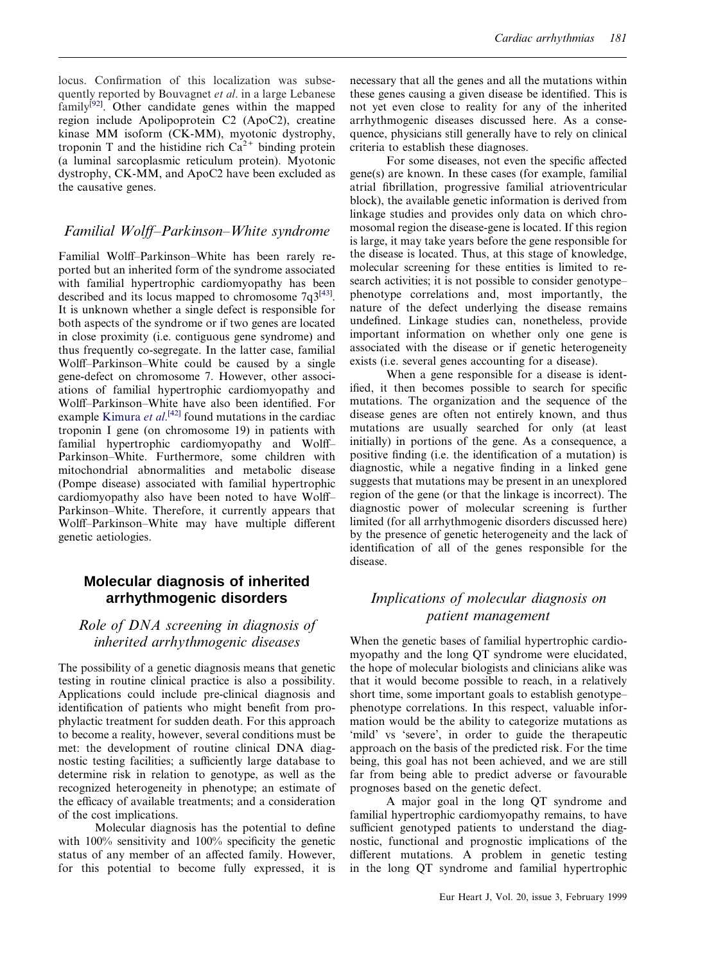locus. Confirmation of this localization was subsequently reported by Bouvagnet *et al*. in a large Lebanese family<sup>[\[92\]](#page-19-14)</sup>. Other candidate genes within the mapped region include Apolipoprotein C2 (ApoC2), creatine kinase MM isoform (CK-MM), myotonic dystrophy, troponin T and the histidine rich  $Ca^{2+}$  binding protein (a luminal sarcoplasmic reticulum protein). Myotonic dystrophy, CK-MM, and ApoC2 have been excluded as the causative genes.

### *Familial Wolff–Parkinson–White syndrome*

Familial Wolff–Parkinson–White has been rarely reported but an inherited form of the syndrome associated with familial hypertrophic cardiomyopathy has been described and its locus mapped to chromosome  $7q3^{[43]}$  $7q3^{[43]}$  $7q3^{[43]}$ . It is unknown whether a single defect is responsible for both aspects of the syndrome or if two genes are located in close proximity (i.e. contiguous gene syndrome) and thus frequently co-segregate. In the latter case, familial Wolff–Parkinson–White could be caused by a single gene-defect on chromosome 7. However, other associations of familial hypertrophic cardiomyopathy and Wolff–Parkinson–White have also been identified. For example [Kimura](#page-18-7) *et al*.<sup>[42]</sup> found mutations in the cardiac troponin I gene (on chromosome 19) in patients with familial hypertrophic cardiomyopathy and Wolff– Parkinson–White. Furthermore, some children with mitochondrial abnormalities and metabolic disease (Pompe disease) associated with familial hypertrophic cardiomyopathy also have been noted to have Wolff– Parkinson–White. Therefore, it currently appears that Wolff–Parkinson–White may have multiple different genetic aetiologies.

# **Molecular diagnosis of inherited arrhythmogenic disorders**

# *Role of DNA screening in diagnosis of inherited arrhythmogenic diseases*

The possibility of a genetic diagnosis means that genetic testing in routine clinical practice is also a possibility. Applications could include pre-clinical diagnosis and identification of patients who might benefit from prophylactic treatment for sudden death. For this approach to become a reality, however, several conditions must be met: the development of routine clinical DNA diagnostic testing facilities; a sufficiently large database to determine risk in relation to genotype, as well as the recognized heterogeneity in phenotype; an estimate of the efficacy of available treatments; and a consideration of the cost implications.

Molecular diagnosis has the potential to define with 100% sensitivity and 100% specificity the genetic status of any member of an affected family. However, for this potential to become fully expressed, it is necessary that all the genes and all the mutations within these genes causing a given disease be identified. This is not yet even close to reality for any of the inherited arrhythmogenic diseases discussed here. As a consequence, physicians still generally have to rely on clinical criteria to establish these diagnoses.

For some diseases, not even the specific affected gene(s) are known. In these cases (for example, familial atrial fibrillation, progressive familial atrioventricular block), the available genetic information is derived from linkage studies and provides only data on which chromosomal region the disease-gene is located. If this region is large, it may take years before the gene responsible for the disease is located. Thus, at this stage of knowledge, molecular screening for these entities is limited to research activities; it is not possible to consider genotype– phenotype correlations and, most importantly, the nature of the defect underlying the disease remains undefined. Linkage studies can, nonetheless, provide important information on whether only one gene is associated with the disease or if genetic heterogeneity exists (i.e. several genes accounting for a disease).

When a gene responsible for a disease is identified, it then becomes possible to search for specific mutations. The organization and the sequence of the disease genes are often not entirely known, and thus mutations are usually searched for only (at least initially) in portions of the gene. As a consequence, a positive finding (i.e. the identification of a mutation) is diagnostic, while a negative finding in a linked gene suggests that mutations may be present in an unexplored region of the gene (or that the linkage is incorrect). The diagnostic power of molecular screening is further limited (for all arrhythmogenic disorders discussed here) by the presence of genetic heterogeneity and the lack of identification of all of the genes responsible for the disease.

# *Implications of molecular diagnosis on patient management*

When the genetic bases of familial hypertrophic cardiomyopathy and the long QT syndrome were elucidated, the hope of molecular biologists and clinicians alike was that it would become possible to reach, in a relatively short time, some important goals to establish genotype– phenotype correlations. In this respect, valuable information would be the ability to categorize mutations as 'mild' vs 'severe', in order to guide the therapeutic approach on the basis of the predicted risk. For the time being, this goal has not been achieved, and we are still far from being able to predict adverse or favourable prognoses based on the genetic defect.

A major goal in the long QT syndrome and familial hypertrophic cardiomyopathy remains, to have sufficient genotyped patients to understand the diagnostic, functional and prognostic implications of the different mutations. A problem in genetic testing in the long QT syndrome and familial hypertrophic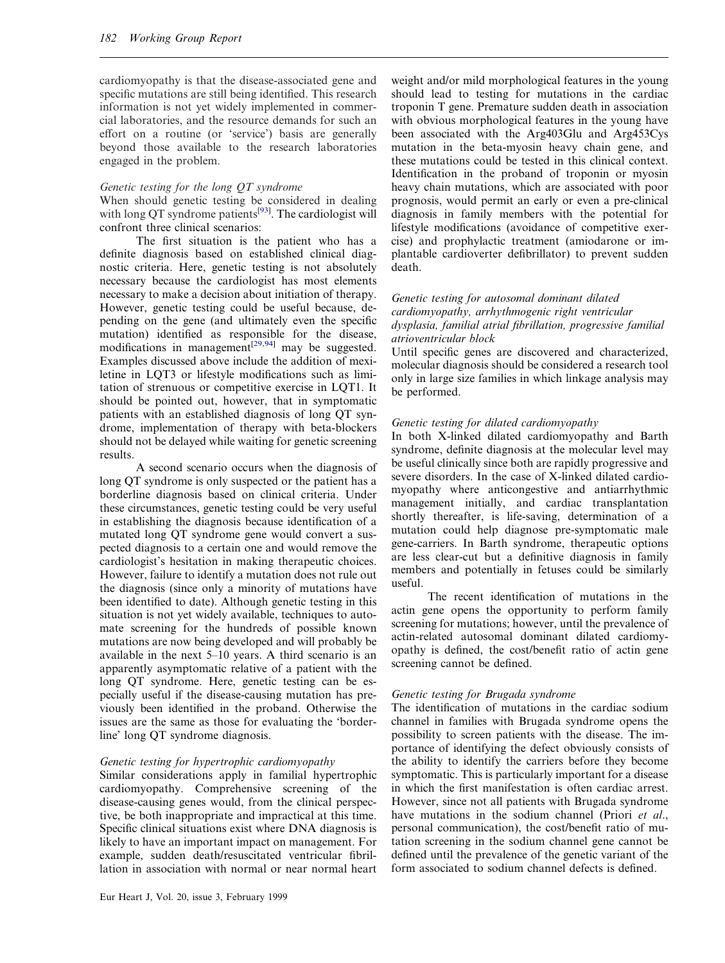cardiomyopathy is that the disease-associated gene and specific mutations are still being identified. This research information is not yet widely implemented in commercial laboratories, and the resource demands for such an effort on a routine (or 'service') basis are generally beyond those available to the research laboratories engaged in the problem.

#### *Genetic testing for the long QT syndrome*

When should genetic testing be considered in dealing with long QT syndrome patients<sup>[\[93\]](#page-19-31)</sup>. The cardiologist will confront three clinical scenarios:

The first situation is the patient who has a definite diagnosis based on established clinical diagnostic criteria. Here, genetic testing is not absolutely necessary because the cardiologist has most elements necessary to make a decision about initiation of therapy. However, genetic testing could be useful because, depending on the gene (and ultimately even the specific mutation) identified as responsible for the disease, modifications in management $[29,94]$  $[29,94]$  may be suggested. Examples discussed above include the addition of mexiletine in LQT3 or lifestyle modifications such as limitation of strenuous or competitive exercise in LQT1. It should be pointed out, however, that in symptomatic patients with an established diagnosis of long QT syndrome, implementation of therapy with beta-blockers should not be delayed while waiting for genetic screening results.

A second scenario occurs when the diagnosis of long QT syndrome is only suspected or the patient has a borderline diagnosis based on clinical criteria. Under these circumstances, genetic testing could be very useful in establishing the diagnosis because identification of a mutated long QT syndrome gene would convert a suspected diagnosis to a certain one and would remove the cardiologist's hesitation in making therapeutic choices. However, failure to identify a mutation does not rule out the diagnosis (since only a minority of mutations have been identified to date). Although genetic testing in this situation is not yet widely available, techniques to automate screening for the hundreds of possible known mutations are now being developed and will probably be available in the next 5–10 years. A third scenario is an apparently asymptomatic relative of a patient with the long QT syndrome. Here, genetic testing can be especially useful if the disease-causing mutation has previously been identified in the proband. Otherwise the issues are the same as those for evaluating the 'borderline' long QT syndrome diagnosis.

### *Genetic testing for hypertrophic cardiomyopathy*

Similar considerations apply in familial hypertrophic cardiomyopathy. Comprehensive screening of the disease-causing genes would, from the clinical perspective, be both inappropriate and impractical at this time. Specific clinical situations exist where DNA diagnosis is likely to have an important impact on management. For example, sudden death/resuscitated ventricular fibrillation in association with normal or near normal heart

weight and/or mild morphological features in the young should lead to testing for mutations in the cardiac troponin T gene. Premature sudden death in association with obvious morphological features in the young have been associated with the Arg403Glu and Arg453Cys mutation in the beta-myosin heavy chain gene, and these mutations could be tested in this clinical context. Identification in the proband of troponin or myosin heavy chain mutations, which are associated with poor prognosis, would permit an early or even a pre-clinical diagnosis in family members with the potential for lifestyle modifications (avoidance of competitive exercise) and prophylactic treatment (amiodarone or implantable cardioverter defibrillator) to prevent sudden death.

### *Genetic testing for autosomal dominant dilated cardiomyopathy, arrhythmogenic right ventricular dysplasia, familial atrial fibrillation, progressive familial atrioventricular block*

Until specific genes are discovered and characterized, molecular diagnosis should be considered a research tool only in large size families in which linkage analysis may be performed.

#### *Genetic testing for dilated cardiomyopathy*

In both X-linked dilated cardiomyopathy and Barth syndrome, definite diagnosis at the molecular level may be useful clinically since both are rapidly progressive and severe disorders. In the case of X-linked dilated cardiomyopathy where anticongestive and antiarrhythmic management initially, and cardiac transplantation shortly thereafter, is life-saving, determination of a mutation could help diagnose pre-symptomatic male gene-carriers. In Barth syndrome, therapeutic options are less clear-cut but a definitive diagnosis in family members and potentially in fetuses could be similarly useful.

The recent identification of mutations in the actin gene opens the opportunity to perform family screening for mutations; however, until the prevalence of actin-related autosomal dominant dilated cardiomyopathy is defined, the cost/benefit ratio of actin gene screening cannot be defined.

#### *Genetic testing for Brugada syndrome*

The identification of mutations in the cardiac sodium channel in families with Brugada syndrome opens the possibility to screen patients with the disease. The importance of identifying the defect obviously consists of the ability to identify the carriers before they become symptomatic. This is particularly important for a disease in which the first manifestation is often cardiac arrest. However, since not all patients with Brugada syndrome have mutations in the sodium channel (Priori *et al*., personal communication), the cost/benefit ratio of mutation screening in the sodium channel gene cannot be defined until the prevalence of the genetic variant of the form associated to sodium channel defects is defined.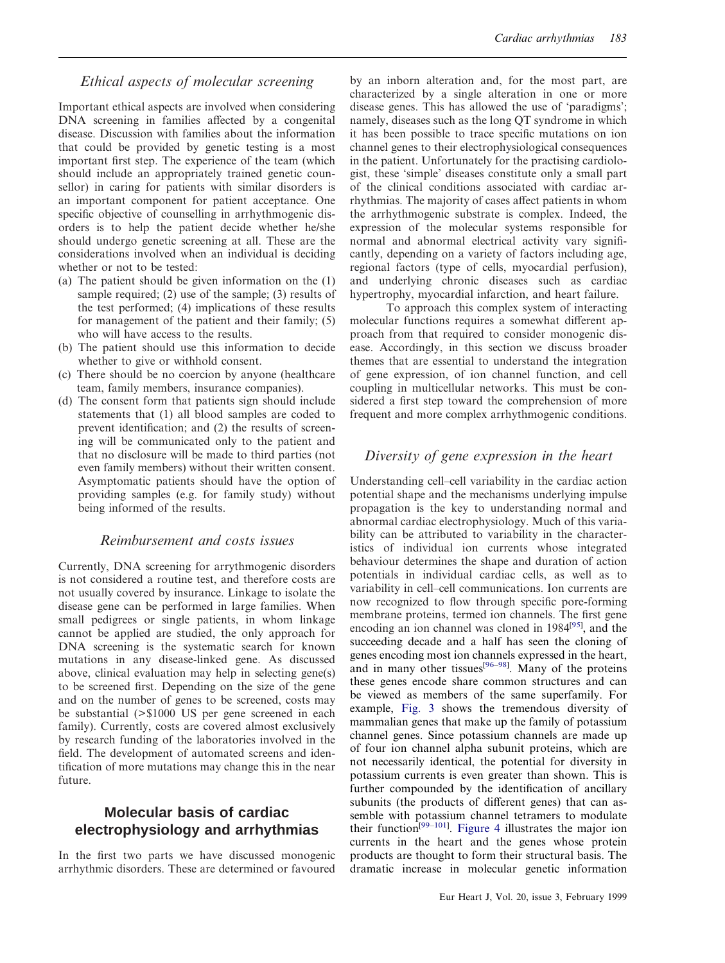### *Ethical aspects of molecular screening*

Important ethical aspects are involved when considering DNA screening in families affected by a congenital disease. Discussion with families about the information that could be provided by genetic testing is a most important first step. The experience of the team (which should include an appropriately trained genetic counsellor) in caring for patients with similar disorders is an important component for patient acceptance. One specific objective of counselling in arrhythmogenic disorders is to help the patient decide whether he/she should undergo genetic screening at all. These are the considerations involved when an individual is deciding whether or not to be tested:

- (a) The patient should be given information on the (1) sample required; (2) use of the sample; (3) results of the test performed; (4) implications of these results for management of the patient and their family; (5) who will have access to the results.
- (b) The patient should use this information to decide whether to give or withhold consent.
- (c) There should be no coercion by anyone (healthcare team, family members, insurance companies).
- (d) The consent form that patients sign should include statements that (1) all blood samples are coded to prevent identification; and (2) the results of screening will be communicated only to the patient and that no disclosure will be made to third parties (not even family members) without their written consent. Asymptomatic patients should have the option of providing samples (e.g. for family study) without being informed of the results.

### *Reimbursement and costs issues*

Currently, DNA screening for arrythmogenic disorders is not considered a routine test, and therefore costs are not usually covered by insurance. Linkage to isolate the disease gene can be performed in large families. When small pedigrees or single patients, in whom linkage cannot be applied are studied, the only approach for DNA screening is the systematic search for known mutations in any disease-linked gene. As discussed above, clinical evaluation may help in selecting gene(s) to be screened first. Depending on the size of the gene and on the number of genes to be screened, costs may be substantial (>\$1000 US per gene screened in each family). Currently, costs are covered almost exclusively by research funding of the laboratories involved in the field. The development of automated screens and identification of more mutations may change this in the near future.

## **Molecular basis of cardiac electrophysiology and arrhythmias**

In the first two parts we have discussed monogenic arrhythmic disorders. These are determined or favoured

by an inborn alteration and, for the most part, are characterized by a single alteration in one or more disease genes. This has allowed the use of 'paradigms'; namely, diseases such as the long QT syndrome in which it has been possible to trace specific mutations on ion channel genes to their electrophysiological consequences in the patient. Unfortunately for the practising cardiologist, these 'simple' diseases constitute only a small part of the clinical conditions associated with cardiac arrhythmias. The majority of cases affect patients in whom the arrhythmogenic substrate is complex. Indeed, the expression of the molecular systems responsible for normal and abnormal electrical activity vary significantly, depending on a variety of factors including age, regional factors (type of cells, myocardial perfusion), and underlying chronic diseases such as cardiac hypertrophy, myocardial infarction, and heart failure.

To approach this complex system of interacting molecular functions requires a somewhat different approach from that required to consider monogenic disease. Accordingly, in this section we discuss broader themes that are essential to understand the integration of gene expression, of ion channel function, and cell coupling in multicellular networks. This must be considered a first step toward the comprehension of more frequent and more complex arrhythmogenic conditions.

### *Diversity of gene expression in the heart*

Understanding cell–cell variability in the cardiac action potential shape and the mechanisms underlying impulse propagation is the key to understanding normal and abnormal cardiac electrophysiology. Much of this variability can be attributed to variability in the characteristics of individual ion currents whose integrated behaviour determines the shape and duration of action potentials in individual cardiac cells, as well as to variability in cell–cell communications. Ion currents are now recognized to flow through specific pore-forming membrane proteins, termed ion channels. The first gene encoding an ion channel was cloned in 1984<sup>[\[95\]](#page-19-33)</sup>, and the succeeding decade and a half has seen the cloning of genes encoding most ion channels expressed in the heart, and in many other tissues<sup>[\[96](#page-19-34)[–98\]](#page-19-35)</sup>. Many of the proteins these genes encode share common structures and can be viewed as members of the same superfamily. For example, [Fig. 3](#page-10-0) shows the tremendous diversity of mammalian genes that make up the family of potassium channel genes. Since potassium channels are made up of four ion channel alpha subunit proteins, which are not necessarily identical, the potential for diversity in potassium currents is even greater than shown. This is further compounded by the identification of ancillary subunits (the products of different genes) that can assemble with potassium channel tetramers to modulate their function<sup>[\[99](#page-19-36)-101]</sup>. [Figure 4](#page-11-0) illustrates the major ion currents in the heart and the genes whose protein products are thought to form their structural basis. The dramatic increase in molecular genetic information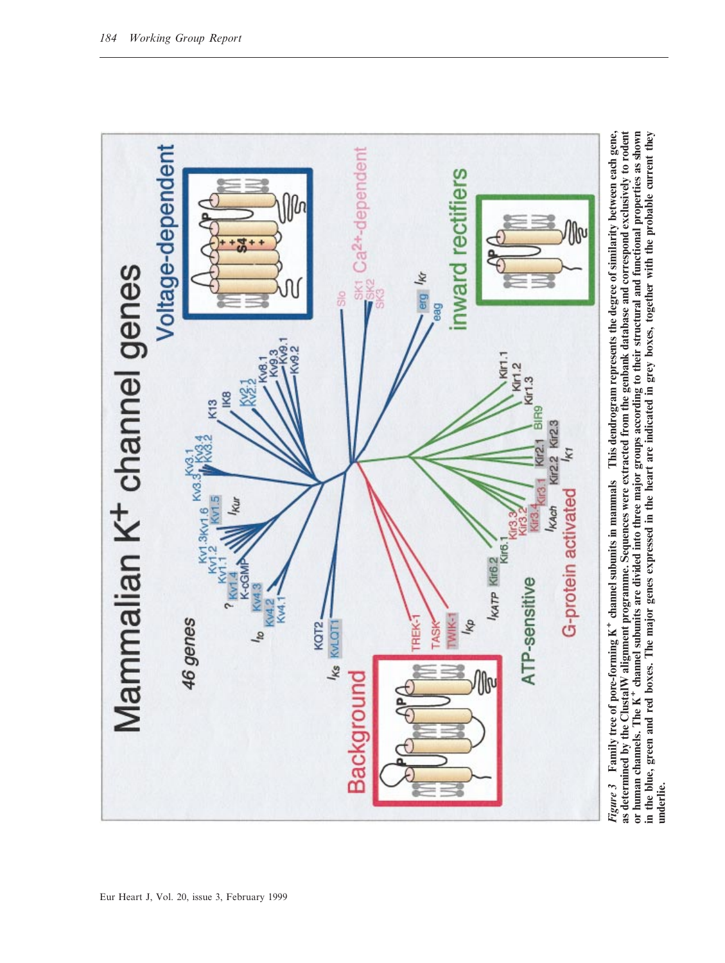

<span id="page-10-0"></span>Eur Heart J, Vol. 20, issue 3, February 1999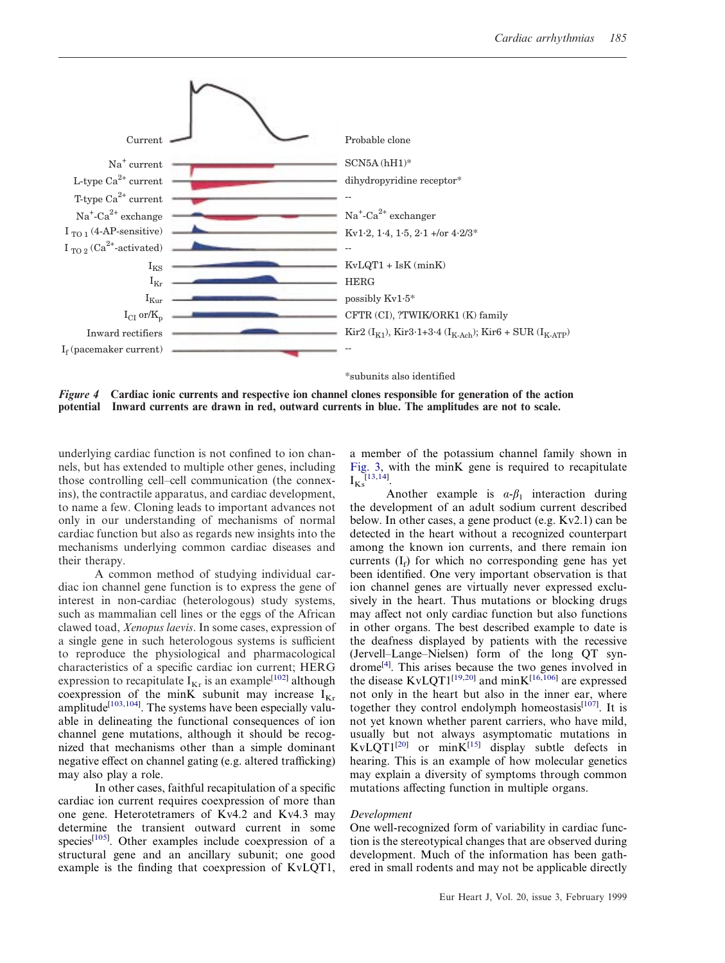

<span id="page-11-0"></span>*Figure 4* **Cardiac ionic currents and respective ion channel clones responsible for generation of the action potential Inward currents are drawn in red, outward currents in blue. The amplitudes are not to scale.**

underlying cardiac function is not confined to ion channels, but has extended to multiple other genes, including those controlling cell–cell communication (the connexins), the contractile apparatus, and cardiac development, to name a few. Cloning leads to important advances not only in our understanding of mechanisms of normal cardiac function but also as regards new insights into the mechanisms underlying common cardiac diseases and their therapy.

A common method of studying individual cardiac ion channel gene function is to express the gene of interest in non-cardiac (heterologous) study systems, such as mammalian cell lines or the eggs of the African clawed toad, *Xenopus laevis*. In some cases, expression of a single gene in such heterologous systems is sufficient to reproduce the physiological and pharmacological characteristics of a specific cardiac ion current; HERG expression to recapitulate  $I_{Kr}$  is an example<sup>[\[102\]](#page-20-0)</sup> although coexpression of the minK subunit may increase  $I_{Kr}$ amplitude<sup>[\[103](#page-20-1)[,104\]](#page-20-2)</sup>. The systems have been especially valuable in delineating the functional consequences of ion channel gene mutations, although it should be recognized that mechanisms other than a simple dominant negative effect on channel gating (e.g. altered trafficking) may also play a role.

In other cases, faithful recapitulation of a specific cardiac ion current requires coexpression of more than one gene. Heterotetramers of Kv4.2 and Kv4.3 may determine the transient outward current in some species<sup>[\[105\]](#page-20-3)</sup>. Other examples include coexpression of a structural gene and an ancillary subunit; one good example is the finding that coexpression of KvLQT1,

a member of the potassium channel family shown in [Fig. 3,](#page-10-0) with the minK gene is required to recapitulate  $I_{Ks}^{\left[13,14\right]}$ .

Another example is  $a-\beta_1$  interaction during the development of an adult sodium current described below. In other cases, a gene product (e.g. Kv2.1) can be detected in the heart without a recognized counterpart among the known ion currents, and there remain ion currents  $(I_f)$  for which no corresponding gene has yet been identified. One very important observation is that ion channel genes are virtually never expressed exclusively in the heart. Thus mutations or blocking drugs may affect not only cardiac function but also functions in other organs. The best described example to date is the deafness displayed by patients with the recessive (Jervell–Lange–Nielsen) form of the long QT syn-drome<sup>[\[4\]](#page-17-3)</sup>. This arises because the two genes involved in the disease  $KvLQT1^{[19,20]}$  $KvLQT1^{[19,20]}$  $KvLQT1^{[19,20]}$  $KvLQT1^{[19,20]}$  and  $minK^{[16,106]}$  $minK^{[16,106]}$  $minK^{[16,106]}$  $minK^{[16,106]}$  are expressed not only in the heart but also in the inner ear, where together they control endolymph homeostasis $[107]$ . It is not yet known whether parent carriers, who have mild, usually but not always asymptomatic mutations in  $KvLOT1^{[20]}$  $KvLOT1^{[20]}$  $KvLOT1^{[20]}$  or min $K^{[15]}$  $K^{[15]}$  $K^{[15]}$  display subtle defects in hearing. This is an example of how molecular genetics may explain a diversity of symptoms through common mutations affecting function in multiple organs.

### *Development*

One well-recognized form of variability in cardiac function is the stereotypical changes that are observed during development. Much of the information has been gathered in small rodents and may not be applicable directly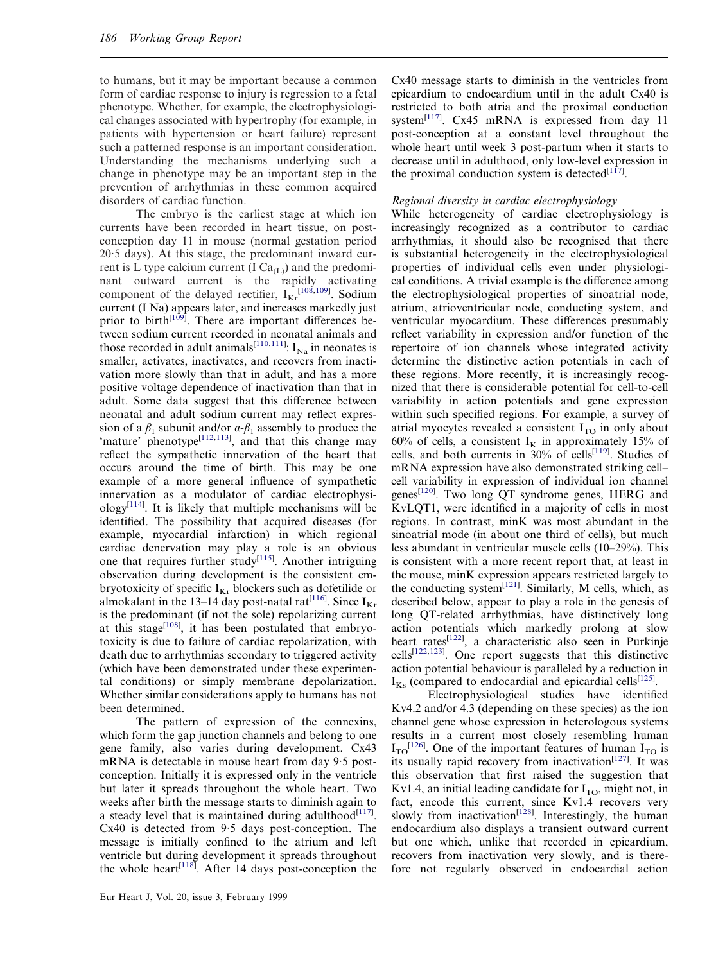to humans, but it may be important because a common form of cardiac response to injury is regression to a fetal phenotype. Whether, for example, the electrophysiological changes associated with hypertrophy (for example, in patients with hypertension or heart failure) represent such a patterned response is an important consideration. Understanding the mechanisms underlying such a change in phenotype may be an important step in the prevention of arrhythmias in these common acquired disorders of cardiac function.

The embryo is the earliest stage at which ion currents have been recorded in heart tissue, on postconception day 11 in mouse (normal gestation period 20·5 days). At this stage, the predominant inward current is L type calcium current (I  $Ca_{(L)}$ ) and the predominant outward current is the rapidly activating component of the delayed rectifier,  $I_{Kr}^{\left[108,109\right]}$  $I_{Kr}^{\left[108,109\right]}$  $I_{Kr}^{\left[108,109\right]}$ . Sodium current (I Na) appears later, and increases markedly just prior to birth<sup>[\[109\]](#page-20-7)</sup>. There are important differences between sodium current recorded in neonatal animals and those recorded in adult animals<sup>[\[110](#page-20-8)[,111\]](#page-20-9)</sup>:  $I_{\text{Na}}$  in neonates is smaller, activates, inactivates, and recovers from inactivation more slowly than that in adult, and has a more positive voltage dependence of inactivation than that in adult. Some data suggest that this difference between neonatal and adult sodium current may reflect expression of a  $\beta_1$  subunit and/or  $a-\beta_1$  assembly to produce the 'mature' phenotype<sup>[\[112](#page-20-10)[,113\]](#page-20-11)</sup>, and that this change may reflect the sympathetic innervation of the heart that occurs around the time of birth. This may be one example of a more general influence of sympathetic innervation as a modulator of cardiac electrophysi- $\log y^{[114]}$  $\log y^{[114]}$  $\log y^{[114]}$ . It is likely that multiple mechanisms will be identified. The possibility that acquired diseases (for example, myocardial infarction) in which regional cardiac denervation may play a role is an obvious one that requires further study<sup>[\[115\]](#page-20-13)</sup>. Another intriguing observation during development is the consistent embryotoxicity of specific  $I_{Kr}$  blockers such as dofetilide or almokalant in the 13–14 day post-natal rat<sup>[\[116\]](#page-20-14)</sup>. Since  $I_{Kr}$ is the predominant (if not the sole) repolarizing current at this stage<sup>[\[108\]](#page-20-6)</sup>, it has been postulated that embryotoxicity is due to failure of cardiac repolarization, with death due to arrhythmias secondary to triggered activity (which have been demonstrated under these experimental conditions) or simply membrane depolarization. Whether similar considerations apply to humans has not been determined.

The pattern of expression of the connexins, which form the gap junction channels and belong to one gene family, also varies during development. Cx43 mRNA is detectable in mouse heart from day 9·5 postconception. Initially it is expressed only in the ventricle but later it spreads throughout the whole heart. Two weeks after birth the message starts to diminish again to a steady level that is maintained during adulthood $[117]$ . Cx40 is detected from 9·5 days post-conception. The message is initially confined to the atrium and left ventricle but during development it spreads throughout the whole heart<sup>[\[118\]](#page-20-16)</sup>. After 14 days post-conception the

Cx40 message starts to diminish in the ventricles from epicardium to endocardium until in the adult Cx40 is restricted to both atria and the proximal conduction system $^{[117]}$  $^{[117]}$  $^{[117]}$ . Cx45 mRNA is expressed from day 11 post-conception at a constant level throughout the whole heart until week 3 post-partum when it starts to decrease until in adulthood, only low-level expression in the proximal conduction system is detected $[117]$ .

#### *Regional diversity in cardiac electrophysiology*

While heterogeneity of cardiac electrophysiology is increasingly recognized as a contributor to cardiac arrhythmias, it should also be recognised that there is substantial heterogeneity in the electrophysiological properties of individual cells even under physiological conditions. A trivial example is the difference among the electrophysiological properties of sinoatrial node, atrium, atrioventricular node, conducting system, and ventricular myocardium. These differences presumably reflect variability in expression and/or function of the repertoire of ion channels whose integrated activity determine the distinctive action potentials in each of these regions. More recently, it is increasingly recognized that there is considerable potential for cell-to-cell variability in action potentials and gene expression within such specified regions. For example, a survey of atrial myocytes revealed a consistent  $I_{TO}$  in only about 60% of cells, a consistent  $I<sub>K</sub>$  in approximately 15% of cells, and both currents in  $30\%$  of cells<sup>[\[119\]](#page-20-17)</sup>. Studies of mRNA expression have also demonstrated striking cell– cell variability in expression of individual ion channel genes<sup>[\[120\]](#page-20-18)</sup>. Two long QT syndrome genes, HERG and KvLQT1, were identified in a majority of cells in most regions. In contrast, minK was most abundant in the sinoatrial mode (in about one third of cells), but much less abundant in ventricular muscle cells (10–29%). This is consistent with a more recent report that, at least in the mouse, minK expression appears restricted largely to the conducting system<sup>[\[121\]](#page-20-19)</sup>. Similarly, M cells, which, as described below, appear to play a role in the genesis of long QT-related arrhythmias, have distinctively long action potentials which markedly prolong at slow heart rates<sup>[\[122\]](#page-20-20)</sup>, a characteristic also seen in Purkinje cells[\[122](#page-20-20)[,123\]](#page-20-21) . One report suggests that this distinctive action potential behaviour is paralleled by a reduction in  $I_{Ks}$  (compared to endocardial and epicardial cells<sup>[\[125\]](#page-20-22)</sup>.

Electrophysiological studies have identified Kv4.2 and/or 4.3 (depending on these species) as the ion channel gene whose expression in heterologous systems results in a current most closely resembling human  $I_{\text{TO}}^{[126]}$  $I_{\text{TO}}^{[126]}$  $I_{\text{TO}}^{[126]}$ . One of the important features of human  $I_{\text{TO}}$  is its usually rapid recovery from inactivation $[127]$ . It was this observation that first raised the suggestion that Kv1.4, an initial leading candidate for  $I_{TO}$ , might not, in fact, encode this current, since Kv1.4 recovers very slowly from inactivation<sup>[\[128\]](#page-20-25)</sup>. Interestingly, the human endocardium also displays a transient outward current but one which, unlike that recorded in epicardium, recovers from inactivation very slowly, and is therefore not regularly observed in endocardial action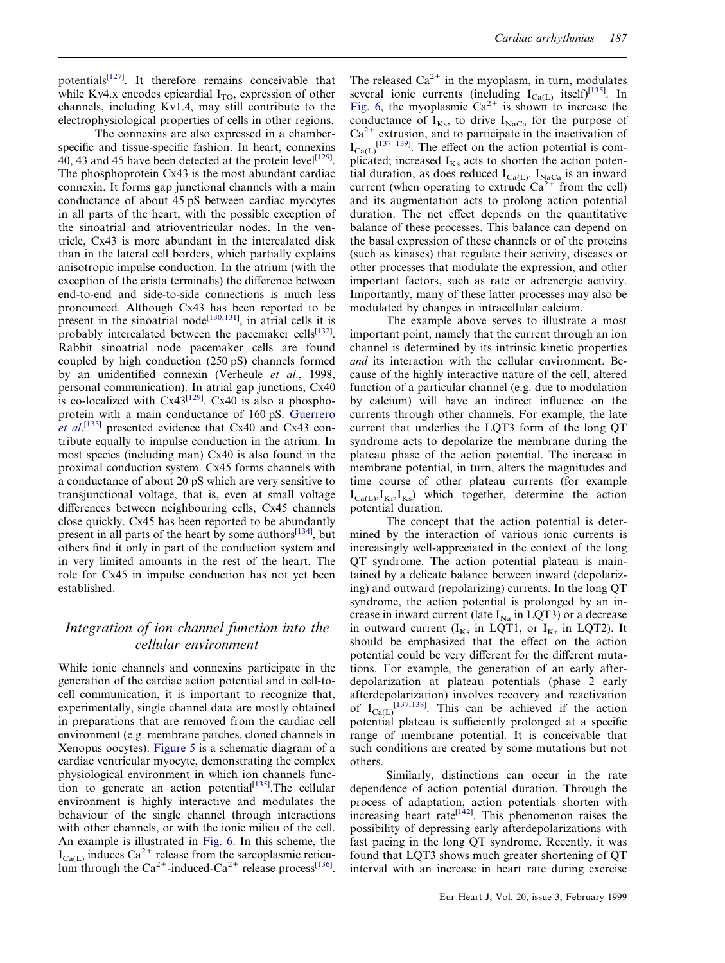potentials<sup>[\[127\]](#page-20-24)</sup>. It therefore remains conceivable that while Kv4.x encodes epicardial  $I_{TO}$ , expression of other channels, including Kv1.4, may still contribute to the electrophysiological properties of cells in other regions.

The connexins are also expressed in a chamberspecific and tissue-specific fashion. In heart, connexins  $40, 43$  and 45 have been detected at the protein level<sup>[\[129\]](#page-20-26)</sup>. The phosphoprotein Cx43 is the most abundant cardiac connexin. It forms gap junctional channels with a main conductance of about 45 pS between cardiac myocytes in all parts of the heart, with the possible exception of the sinoatrial and atrioventricular nodes. In the ventricle, Cx43 is more abundant in the intercalated disk than in the lateral cell borders, which partially explains anisotropic impulse conduction. In the atrium (with the exception of the crista terminalis) the difference between end-to-end and side-to-side connections is much less pronounced. Although Cx43 has been reported to be present in the sinoatrial node<sup>[\[130](#page-20-27)[,131\]](#page-20-28)</sup>, in atrial cells it is probably intercalated between the pacemaker cells<sup>[\[132\]](#page-20-29)</sup>. Rabbit sinoatrial node pacemaker cells are found coupled by high conduction (250 pS) channels formed by an unidentified connexin (Verheule *et al*., 1998, personal communication). In atrial gap junctions, Cx40 is co-localized with  $Cx43^{[129]}$  $Cx43^{[129]}$  $Cx43^{[129]}$ .  $Cx40$  is also a phosphoprotein with a main conductance of 160 pS. [Guerrero](#page-20-30) *[et al](#page-20-30)*. [133] presented evidence that Cx40 and Cx43 contribute equally to impulse conduction in the atrium. In most species (including man) Cx40 is also found in the proximal conduction system. Cx45 forms channels with a conductance of about 20 pS which are very sensitive to transjunctional voltage, that is, even at small voltage differences between neighbouring cells, Cx45 channels close quickly. Cx45 has been reported to be abundantly present in all parts of the heart by some authors<sup>[\[134\]](#page-20-31)</sup>, but others find it only in part of the conduction system and in very limited amounts in the rest of the heart. The role for Cx45 in impulse conduction has not yet been established.

# *Integration of ion channel function into the cellular environment*

While ionic channels and connexins participate in the generation of the cardiac action potential and in cell-tocell communication, it is important to recognize that, experimentally, single channel data are mostly obtained in preparations that are removed from the cardiac cell environment (e.g. membrane patches, cloned channels in Xenopus oocytes). [Figure 5](#page-14-0) is a schematic diagram of a cardiac ventricular myocyte, demonstrating the complex physiological environment in which ion channels function to generate an action potential $[135]$ . The cellular environment is highly interactive and modulates the behaviour of the single channel through interactions with other channels, or with the ionic milieu of the cell. An example is illustrated in [Fig. 6.](#page-15-0) In this scheme, the  $I_{Ca(L)}$  induces  $Ca^{2+}$  release from the sarcoplasmic reticulum through the  $Ca^{2+}$ -induced-Ca<sup>2+</sup> release process<sup>[\[136\]](#page-20-33)</sup>.

The released  $Ca^{2+}$  in the myoplasm, in turn, modulates several ionic currents (including  $I_{Ca(L)}$  itself)<sup>[\[135\]](#page-20-32)</sup>. In [Fig. 6,](#page-15-0) the myoplasmic  $Ca^{2+}$  is shown to increase the conductance of  $I_{Ks}$ , to drive  $I_{NaCa}$  for the purpose of  $Ca<sup>2+</sup>$  extrusion, and to participate in the inactivation of  $I_{Ca(L)}$ <sup>[\[137](#page-20-34)[–139\]](#page-20-35)</sup>. The effect on the action potential is complicated; increased  $I_{Ks}$  acts to shorten the action potential duration, as does reduced  $I_{Ca(L)}$ .  $I_{NaCa}$  is an inward current (when operating to extrude  $Ca^{2+}$  from the cell) and its augmentation acts to prolong action potential duration. The net effect depends on the quantitative balance of these processes. This balance can depend on the basal expression of these channels or of the proteins (such as kinases) that regulate their activity, diseases or other processes that modulate the expression, and other important factors, such as rate or adrenergic activity. Importantly, many of these latter processes may also be modulated by changes in intracellular calcium.

The example above serves to illustrate a most important point, namely that the current through an ion channel is determined by its intrinsic kinetic properties *and* its interaction with the cellular environment. Because of the highly interactive nature of the cell, altered function of a particular channel (e.g. due to modulation by calcium) will have an indirect influence on the currents through other channels. For example, the late current that underlies the LQT3 form of the long QT syndrome acts to depolarize the membrane during the plateau phase of the action potential. The increase in membrane potential, in turn, alters the magnitudes and time course of other plateau currents (for example  $I_{Ca(L)}, I_{Kr}, I_{Ks}$  which together, determine the action potential duration.

The concept that the action potential is determined by the interaction of various ionic currents is increasingly well-appreciated in the context of the long QT syndrome. The action potential plateau is maintained by a delicate balance between inward (depolarizing) and outward (repolarizing) currents. In the long QT syndrome, the action potential is prolonged by an increase in inward current (late  $I_{Na}$  in LQT3) or a decrease in outward current  $(I_{Ks}$  in LQT1, or  $I_{Kr}$  in LQT2). It should be emphasized that the effect on the action potential could be very different for the different mutations. For example, the generation of an early afterdepolarization at plateau potentials (phase 2 early afterdepolarization) involves recovery and reactivation of  $I_{Ca(L)}^{[137,138]}$  $I_{Ca(L)}^{[137,138]}$  $I_{Ca(L)}^{[137,138]}$  $I_{Ca(L)}^{[137,138]}$ . This can be achieved if the action potential plateau is sufficiently prolonged at a specific range of membrane potential. It is conceivable that such conditions are created by some mutations but not others.

Similarly, distinctions can occur in the rate dependence of action potential duration. Through the process of adaptation, action potentials shorten with increasing heart rate<sup>[\[142\]](#page-21-0)</sup>. This phenomenon raises the possibility of depressing early afterdepolarizations with fast pacing in the long QT syndrome. Recently, it was found that LQT3 shows much greater shortening of QT interval with an increase in heart rate during exercise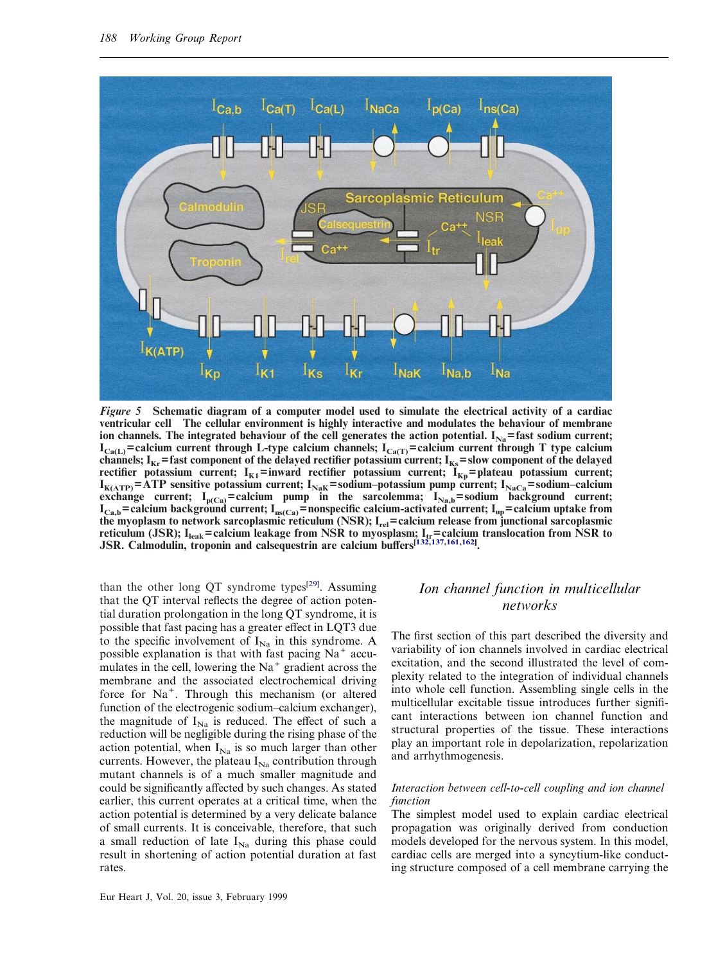

<span id="page-14-0"></span>*Figure 5* **Schematic diagram of a computer model used to simulate the electrical activity of a cardiac ventricular cell The cellular environment is highly interactive and modulates the behaviour of membrane** ion channels. The integrated behaviour of the cell generates the action potential.  $I_{N_a}$ =fast sodium current;  $I_{Ca(L)}$ =calcium current through L-type calcium channels;  $I_{Ca(T)}$ =calcium current through T type calcium  $channels; I_{Kr}$  = fast component of the delayed rectifier potassium current;  $I_{Ks}$  = slow component of the delayed rectifier potassium current;  $I_{K1}$ =inward rectifier potassium current;  $I_{K0}$ =plateau potassium current;  $I_{K(ATP)}$ =ATP sensitive potassium current;  $I_{NaK}$ =sodium–potassium pump current;  $I_{NaCa}$ =sodium–calcium exchange current;  $I_{p(Ca)}$ =calcium pump in the sarcolemma;  $I_{Na,b}$ =sodium background current;  ${\rm I_{Ca,b}}$ =calcium background current;  ${\rm I_{ns(Ca)}}$ =nonspecific calcium-activated current;  ${\rm I_{up}}$ =calcium uptake from **the myoplasm to network sarcoplasmic reticulum (NSR); Irel=calcium release from junctional sarcoplasmic** reticulum (JSR); I<sub>leak</sub>=calcium leakage from NSR to myosplasm; I<sub>tr</sub>=calcium translocation from NSR to **JSR. Calmodulin, troponin and calsequestrin are calcium buffers[\[132](#page-20-29)[,137](#page-20-34)[,161,](#page-21-1)162] .**

than the other long QT syndrome types<sup>[\[29\]](#page-18-17)</sup>. Assuming that the QT interval reflects the degree of action potential duration prolongation in the long QT syndrome, it is possible that fast pacing has a greater effect in LQT3 due to the specific involvement of  $I_{\text{Na}}$  in this syndrome. A possible explanation is that with fast pacing  $Na<sup>+</sup>$  accumulates in the cell, lowering the  $Na<sup>+</sup>$  gradient across the membrane and the associated electrochemical driving force for  $Na<sup>+</sup>$ . Through this mechanism (or altered function of the electrogenic sodium–calcium exchanger), the magnitude of  $I_{\text{Na}}$  is reduced. The effect of such a reduction will be negligible during the rising phase of the action potential, when  $I_{\text{Na}}$  is so much larger than other currents. However, the plateau  $I_{\text{Na}}$  contribution through mutant channels is of a much smaller magnitude and could be significantly affected by such changes. As stated earlier, this current operates at a critical time, when the action potential is determined by a very delicate balance of small currents. It is conceivable, therefore, that such a small reduction of late  $I_{\text{Na}}$  during this phase could result in shortening of action potential duration at fast rates.

# *Ion channel function in multicellular networks*

The first section of this part described the diversity and variability of ion channels involved in cardiac electrical excitation, and the second illustrated the level of complexity related to the integration of individual channels into whole cell function. Assembling single cells in the multicellular excitable tissue introduces further significant interactions between ion channel function and structural properties of the tissue. These interactions play an important role in depolarization, repolarization and arrhythmogenesis.

#### *Interaction between cell-to-cell coupling and ion channel function*

The simplest model used to explain cardiac electrical propagation was originally derived from conduction models developed for the nervous system. In this model, cardiac cells are merged into a syncytium-like conducting structure composed of a cell membrane carrying the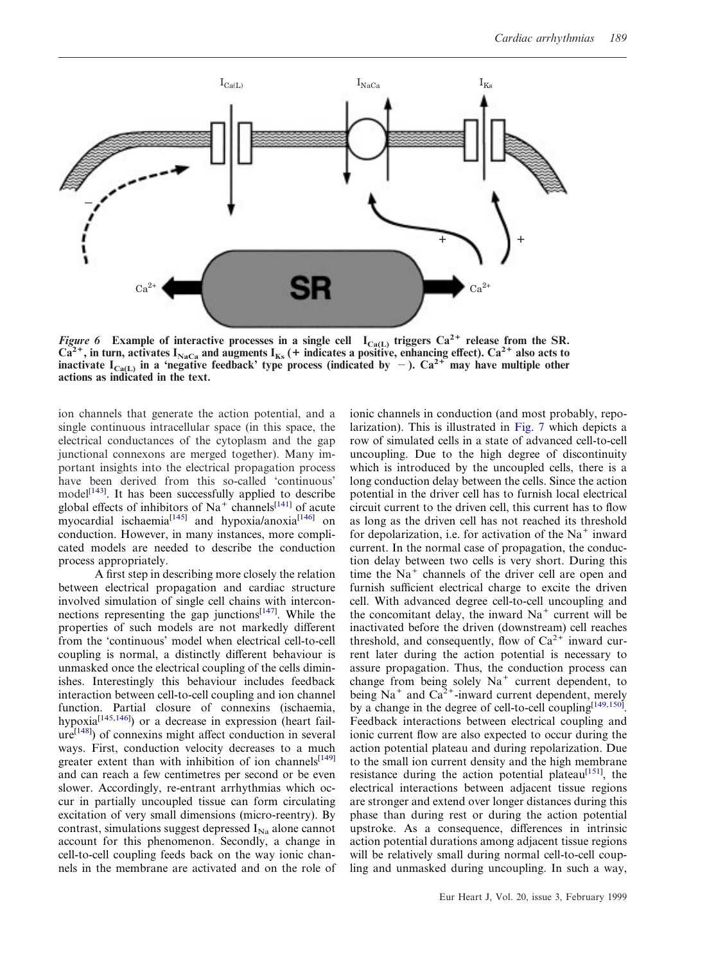

<span id="page-15-0"></span>*Figure 6* **Example of interactive processes in a single cell**  $I_{Ca(L)}$  **triggers**  $Ca^{2+}$  **release from the SR.**  $Ca^{2+}$ , in turn, activates  $I_{NaCa}$  and augments  $I_{Ks}$  (+ indicates a positive, enhancing effect).  $Ca^{2+}$  also acts to **inactivate**  $I_{Ca(L)}$  in a 'negative feedback' type process (indicated by  $-$  ). Ca<sup>2+</sup> may have multiple other **actions as indicated in the text.**

ion channels that generate the action potential, and a single continuous intracellular space (in this space, the electrical conductances of the cytoplasm and the gap junctional connexons are merged together). Many important insights into the electrical propagation process have been derived from this so-called 'continuous' model<sup>[\[143\]](#page-21-2)</sup>. It has been successfully applied to describe global effects of inhibitors of  $Na<sup>+</sup>$  channels<sup>[\[141\]](#page-20-37)</sup> of acute myocardial ischaemia<sup>[\[145\]](#page-21-3)</sup> and hypoxia/anoxia<sup>[\[146\]](#page-21-4)</sup> on conduction. However, in many instances, more complicated models are needed to describe the conduction process appropriately.

A first step in describing more closely the relation between electrical propagation and cardiac structure involved simulation of single cell chains with interconnections representing the gap junctions $[147]$ . While the properties of such models are not markedly different from the 'continuous' model when electrical cell-to-cell coupling is normal, a distinctly different behaviour is unmasked once the electrical coupling of the cells diminishes. Interestingly this behaviour includes feedback interaction between cell-to-cell coupling and ion channel function. Partial closure of connexins (ischaemia, hypoxia<sup>[\[145](#page-21-3)[,146\]](#page-21-4)</sup>) or a decrease in expression (heart fail-ure<sup>[\[148\]](#page-21-6)</sup>) of connexins might affect conduction in several ways. First, conduction velocity decreases to a much greater extent than with inhibition of ion channels<sup>[\[149\]](#page-21-7)</sup> and can reach a few centimetres per second or be even slower. Accordingly, re-entrant arrhythmias which occur in partially uncoupled tissue can form circulating excitation of very small dimensions (micro-reentry). By contrast, simulations suggest depressed  $I_{\text{Na}}$  alone cannot account for this phenomenon. Secondly, a change in cell-to-cell coupling feeds back on the way ionic channels in the membrane are activated and on the role of

ionic channels in conduction (and most probably, repolarization). This is illustrated in [Fig. 7](#page-16-0) which depicts a row of simulated cells in a state of advanced cell-to-cell uncoupling. Due to the high degree of discontinuity which is introduced by the uncoupled cells, there is a long conduction delay between the cells. Since the action potential in the driver cell has to furnish local electrical circuit current to the driven cell, this current has to flow as long as the driven cell has not reached its threshold for depolarization, i.e. for activation of the  $Na<sup>+</sup>$  inward current. In the normal case of propagation, the conduction delay between two cells is very short. During this time the Na<sup>+</sup> channels of the driver cell are open and furnish sufficient electrical charge to excite the driven cell. With advanced degree cell-to-cell uncoupling and the concomitant delay, the inward  $Na<sup>+</sup>$  current will be inactivated before the driven (downstream) cell reaches threshold, and consequently, flow of  $Ca^{2+}$  inward current later during the action potential is necessary to assure propagation. Thus, the conduction process can change from being solely  $Na^+$  current dependent, to being Na<sup>+</sup> and Ca<sup>2+</sup>-inward current dependent, merely by a change in the degree of cell-to-cell coupling<sup>[\[149](#page-21-7)[,150\]](#page-21-8)</sup>. Feedback interactions between electrical coupling and ionic current flow are also expected to occur during the action potential plateau and during repolarization. Due to the small ion current density and the high membrane resistance during the action potential plateau<sup>[\[151\]](#page-21-9)</sup>, the electrical interactions between adjacent tissue regions are stronger and extend over longer distances during this phase than during rest or during the action potential upstroke. As a consequence, differences in intrinsic action potential durations among adjacent tissue regions will be relatively small during normal cell-to-cell coupling and unmasked during uncoupling. In such a way,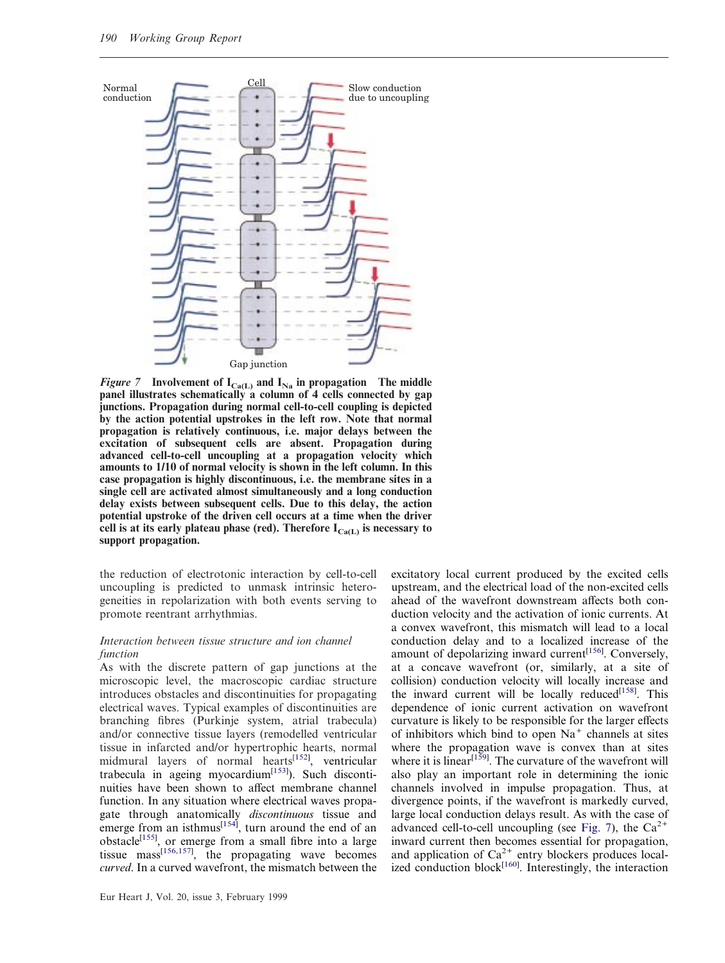

<span id="page-16-0"></span>*Figure 7* Involvement of  $I_{Ca(L)}$  and  $I_{Na}$  in propagation The middle **panel illustrates schematically a column of 4 cells connected by gap junctions. Propagation during normal cell-to-cell coupling is depicted by the action potential upstrokes in the left row. Note that normal propagation is relatively continuous, i.e. major delays between the excitation of subsequent cells are absent. Propagation during advanced cell-to-cell uncoupling at a propagation velocity which amounts to 1/10 of normal velocity is shown in the left column. In this case propagation is highly discontinuous, i.e. the membrane sites in a single cell are activated almost simultaneously and a long conduction delay exists between subsequent cells. Due to this delay, the action potential upstroke of the driven cell occurs at a time when the driver** cell is at its early plateau phase (red). Therefore  $I_{C_2(I)}$  is necessary to **support propagation.**

the reduction of electrotonic interaction by cell-to-cell uncoupling is predicted to unmask intrinsic heterogeneities in repolarization with both events serving to promote reentrant arrhythmias.

### *Interaction between tissue structure and ion channel function*

As with the discrete pattern of gap junctions at the microscopic level, the macroscopic cardiac structure introduces obstacles and discontinuities for propagating electrical waves. Typical examples of discontinuities are branching fibres (Purkinje system, atrial trabecula) and/or connective tissue layers (remodelled ventricular tissue in infarcted and/or hypertrophic hearts, normal midmural layers of normal hearts<sup>[\[152\]](#page-21-10)</sup>, ventricular trabecula in ageing myocardium<sup>[\[153\]](#page-21-11)</sup>). Such discontinuities have been shown to affect membrane channel function. In any situation where electrical waves propagate through anatomically *discontinuous* tissue and emerge from an isthmus $[154]$ , turn around the end of an obstacle<sup>[\[155\]](#page-21-13)</sup>, or emerge from a small fibre into a large tissue mass<sup>[\[156](#page-21-14)[,157\]](#page-21-15)</sup>, the propagating wave becomes *curved*. In a curved wavefront, the mismatch between the

excitatory local current produced by the excited cells upstream, and the electrical load of the non-excited cells ahead of the wavefront downstream affects both conduction velocity and the activation of ionic currents. At a convex wavefront, this mismatch will lead to a local conduction delay and to a localized increase of the amount of depolarizing inward current<sup>[\[156\]](#page-21-14)</sup>. Conversely, at a concave wavefront (or, similarly, at a site of collision) conduction velocity will locally increase and the inward current will be locally reduced<sup>[\[158\]](#page-21-16)</sup>. This dependence of ionic current activation on wavefront curvature is likely to be responsible for the larger effects of inhibitors which bind to open  $Na<sup>+</sup>$  channels at sites where the propagation wave is convex than at sites where it is linear<sup>[\[159\]](#page-21-17)</sup>. The curvature of the wavefront will also play an important role in determining the ionic channels involved in impulse propagation. Thus, at divergence points, if the wavefront is markedly curved, large local conduction delays result. As with the case of advanced cell-to-cell uncoupling (see [Fig. 7\)](#page-16-0), the  $Ca^{2+}$ inward current then becomes essential for propagation, and application of  $Ca^{2+}$  entry blockers produces local-ized conduction block<sup>[\[160\]](#page-21-18)</sup>. Interestingly, the interaction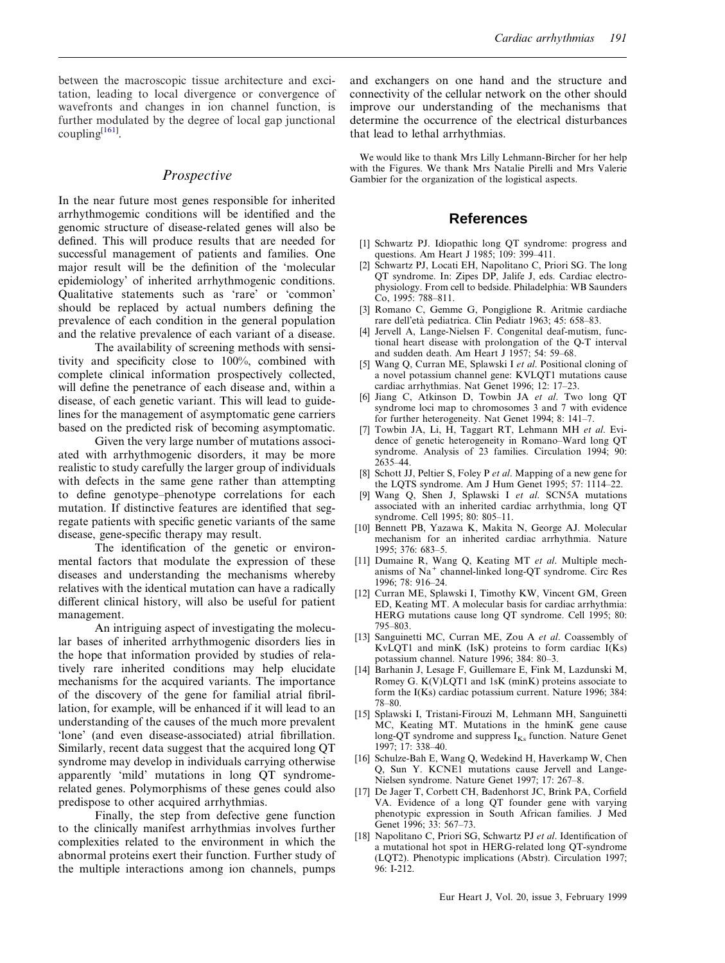between the macroscopic tissue architecture and excitation, leading to local divergence or convergence of wavefronts and changes in ion channel function, is further modulated by the degree of local gap junctional coupling[\[161\]](#page-21-1).

### *Prospective*

In the near future most genes responsible for inherited arrhythmogemic conditions will be identified and the genomic structure of disease-related genes will also be defined. This will produce results that are needed for successful management of patients and families. One major result will be the definition of the 'molecular epidemiology' of inherited arrhythmogenic conditions. Qualitative statements such as 'rare' or 'common' should be replaced by actual numbers defining the prevalence of each condition in the general population and the relative prevalence of each variant of a disease.

The availability of screening methods with sensitivity and specificity close to 100%, combined with complete clinical information prospectively collected, will define the penetrance of each disease and, within a disease, of each genetic variant. This will lead to guidelines for the management of asymptomatic gene carriers based on the predicted risk of becoming asymptomatic.

Given the very large number of mutations associated with arrhythmogenic disorders, it may be more realistic to study carefully the larger group of individuals with defects in the same gene rather than attempting to define genotype–phenotype correlations for each mutation. If distinctive features are identified that segregate patients with specific genetic variants of the same disease, gene-specific therapy may result.

The identification of the genetic or environmental factors that modulate the expression of these diseases and understanding the mechanisms whereby relatives with the identical mutation can have a radically different clinical history, will also be useful for patient management.

An intriguing aspect of investigating the molecular bases of inherited arrhythmogenic disorders lies in the hope that information provided by studies of relatively rare inherited conditions may help elucidate mechanisms for the acquired variants. The importance of the discovery of the gene for familial atrial fibrillation, for example, will be enhanced if it will lead to an understanding of the causes of the much more prevalent 'lone' (and even disease-associated) atrial fibrillation. Similarly, recent data suggest that the acquired long QT syndrome may develop in individuals carrying otherwise apparently 'mild' mutations in long QT syndromerelated genes. Polymorphisms of these genes could also predispose to other acquired arrhythmias.

Finally, the step from defective gene function to the clinically manifest arrhythmias involves further complexities related to the environment in which the abnormal proteins exert their function. Further study of the multiple interactions among ion channels, pumps

and exchangers on one hand and the structure and connectivity of the cellular network on the other should improve our understanding of the mechanisms that determine the occurrence of the electrical disturbances that lead to lethal arrhythmias.

We would like to thank Mrs Lilly Lehmann-Bircher for her help with the Figures. We thank Mrs Natalie Pirelli and Mrs Valerie Gambier for the organization of the logistical aspects.

### **References**

- <span id="page-17-0"></span>[1] Schwartz PJ. Idiopathic long QT syndrome: progress and questions. Am Heart J 1985; 109: 399–411.
- <span id="page-17-1"></span>Schwartz PJ, Locati EH, Napolitano C, Priori SG. The long QT syndrome. In: Zipes DP, Jalife J, eds. Cardiac electrophysiology. From cell to bedside. Philadelphia: WB Saunders Co, 1995: 788–811.
- <span id="page-17-2"></span>[3] Romano C, Gemme G, Pongiglione R. Aritmie cardiache rare dell'eta` pediatrica. Clin Pediatr 1963; 45: 658–83.
- <span id="page-17-3"></span>[4] Jervell A, Lange-Nielsen F. Congenital deaf-mutism, functional heart disease with prolongation of the Q-T interval and sudden death. Am Heart J 1957; 54: 59–68.
- <span id="page-17-4"></span>[5] Wang Q, Curran ME, Splawski I *et al*. Positional cloning of a novel potassium channel gene: KVLQT1 mutations cause cardiac arrhythmias. Nat Genet 1996; 12: 17–23.
- <span id="page-17-6"></span>[6] Jiang C, Atkinson D, Towbin JA *et al*. Two long QT syndrome loci map to chromosomes 3 and 7 with evidence for further heterogeneity. Nat Genet 1994; 8: 141–7.
- [7] Towbin JA, Li, H, Taggart RT, Lehmann MH *et al*. Evidence of genetic heterogeneity in Romano–Ward long QT syndrome. Analysis of 23 families. Circulation 1994; 90: 2635–44.
- <span id="page-17-5"></span>[8] Schott JJ, Peltier S, Foley P *et al*. Mapping of a new gene for the LQTS syndrome. Am J Hum Genet 1995; 57: 1114–22.
- <span id="page-17-7"></span>[9] Wang Q, Shen J, Splawski I *et al*. SCN5A mutations associated with an inherited cardiac arrhythmia, long QT syndrome. Cell 1995; 80: 805–11.
- <span id="page-17-15"></span>[10] Bennett PB, Yazawa K, Makita N, George AJ. Molecular mechanism for an inherited cardiac arrhythmia. Nature 1995; 376: 683–5.
- <span id="page-17-8"></span>[11] Dumaine R, Wang Q, Keating MT *et al*. Multiple mechanisms of Na<sup>+</sup> channel-linked long-QT syndrome. Circ Res 1996; 78: 916–24.
- <span id="page-17-9"></span>[12] Curran ME, Splawski I, Timothy KW, Vincent GM, Green ED, Keating MT. A molecular basis for cardiac arrhythmia: HERG mutations cause long QT syndrome. Cell 1995; 80: 795–803.
- [13] Sanguinetti MC, Curran ME, Zou A *et al*. Coassembly of KvLQT1 and minK  $(IsK)$  proteins to form cardiac  $I(Ks)$ potassium channel. Nature 1996; 384: 80–3.
- <span id="page-17-10"></span>[14] Barhanin J, Lesage F, Guillemare E, Fink M, Lazdunski M, Romey G. K(V)LQT1 and 1sK (minK) proteins associate to form the I(Ks) cardiac potassium current. Nature 1996; 384: 78–80.
- <span id="page-17-11"></span>[15] Splawski I, Tristani-Firouzi M, Lehmann MH, Sanguinetti MC, Keating MT. Mutations in the hminK gene cause long-QT syndrome and suppress  $I_{Ks}$  function. Nature Genet 1997; 17: 338–40.
- <span id="page-17-12"></span>[16] Schulze-Bah E, Wang Q, Wedekind H, Haverkamp W, Chen Q, Sun Y. KCNE1 mutations cause Jervell and Lange-Nielsen syndrome. Nature Genet 1997; 17: 267–8.
- <span id="page-17-13"></span>[17] De Jager T, Corbett CH, Badenhorst JC, Brink PA, Corfield VA. Evidence of a long QT founder gene with varying phenotypic expression in South African families. J Med Genet 1996; 33: 567-73.
- <span id="page-17-14"></span>[18] Napolitano C, Priori SG, Schwartz PJ *et al*. Identification of a mutational hot spot in HERG-related long QT-syndrome (LQT2). Phenotypic implications (Abstr). Circulation 1997; 96: I-212.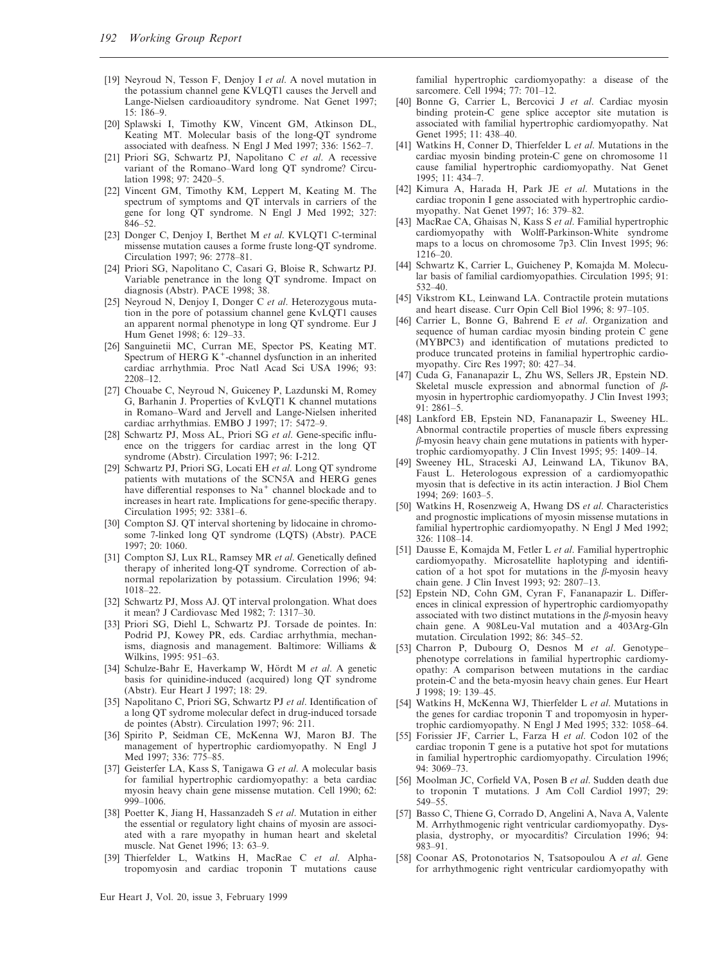- <span id="page-18-8"></span>[19] Neyroud N, Tesson F, Denjoy I *et al*. A novel mutation in the potassium channel gene KVLQT1 causes the Jervell and Lange-Nielsen cardioauditory syndrome. Nat Genet 1997; 15: 186–9.
- <span id="page-18-9"></span>[20] Splawski I, Timothy KW, Vincent GM, Atkinson DL, Keating MT. Molecular basis of the long-QT syndrome associated with deafness. N Engl J Med 1997; 336: 1562–7.
- <span id="page-18-11"></span>[21] Priori SG, Schwartz PJ, Napolitano C *et al*. A recessive variant of the Romano–Ward long QT syndrome? Circulation 1998; 97: 2420–5.
- <span id="page-18-12"></span>[22] Vincent GM, Timothy KM, Leppert M, Keating M. The spectrum of symptoms and QT intervals in carriers of the gene for long QT syndrome. N Engl J Med 1992; 327: 846–52.
- [23] Donger C, Denjoy I, Berthet M *et al*. KVLQT1 C-terminal missense mutation causes a forme fruste long-QT syndrome. Circulation 1997; 96: 2778–81.
- [24] Priori SG, Napolitano C, Casari G, Bloise R, Schwartz PJ. Variable penetrance in the long QT syndrome. Impact on diagnosis (Abstr). PACE 1998; 38.
- <span id="page-18-13"></span>[25] Neyroud N, Denjoy I, Donger C *et al*. Heterozygous mutation in the pore of potassium channel gene KvLQT1 causes an apparent normal phenotype in long QT syndrome. Eur J Hum Genet 1998; 6: 129–33.
- <span id="page-18-14"></span>[26] Sanguinetii MC, Curran ME, Spector PS, Keating MT. Spectrum of HERG K<sup>+</sup>-channel dysfunction in an inherited cardiac arrhythmia. Proc Natl Acad Sci USA 1996; 93: 2208–12.
- <span id="page-18-15"></span>[27] Chouabe C, Neyroud N, Guiceney P, Lazdunski M, Romey G, Barhanin J. Properties of KvLQT1 K channel mutations in Romano–Ward and Jervell and Lange-Nielsen inherited cardiac arrhythmias. EMBO J 1997; 17: 5472–9.
- <span id="page-18-16"></span>[28] Schwartz PJ, Moss AL, Priori SG *et al*. Gene-specific influence on the triggers for cardiac arrest in the long QT syndrome (Abstr). Circulation 1997; 96: I-212.
- <span id="page-18-17"></span>[29] Schwartz PJ, Priori SG, Locati EH *et al*. Long QT syndrome patients with mutations of the SCN5A and HERG genes have differential responses to Na<sup>+</sup> channel blockade and to increases in heart rate. Implications for gene-specific therapy. Circulation 1995; 92: 3381–6.
- <span id="page-18-18"></span>[30] Compton SJ. OT interval shortening by lidocaine in chromosome 7-linked long QT syndrome (LQTS) (Abstr). PACE  $1997: 20: 1060$
- <span id="page-18-19"></span>[31] Compton SJ, Lux RL, Ramsey MR *et al*. Genetically defined therapy of inherited long-QT syndrome. Correction of abnormal repolarization by potassium. Circulation 1996; 94: 1018–22.
- <span id="page-18-20"></span>[32] Schwartz PJ, Moss AJ. QT interval prolongation. What does it mean? J Cardiovasc Med 1982; 7: 1317–30.
- <span id="page-18-21"></span>[33] Priori SG, Diehl L, Schwartz PJ. Torsade de pointes. In: Podrid PJ, Kowey PR, eds. Cardiac arrhythmia, mechanisms, diagnosis and management. Baltimore: Williams & Wilkins, 1995: 951–63.
- <span id="page-18-22"></span>[34] Schulze-Bahr E, Haverkamp W, Hördt M et al. A genetic basis for quinidine-induced (acquired) long QT syndrome (Abstr). Eur Heart J 1997; 18: 29.
- <span id="page-18-23"></span>[35] Napolitano C, Priori SG, Schwartz PJ *et al*. Identification of a long QT sydrome molecular defect in drug-induced torsade de pointes (Abstr). Circulation 1997; 96: 211.
- <span id="page-18-24"></span>[36] Spirito P, Seidman CE, McKenna WJ, Maron BJ. The management of hypertrophic cardiomyopathy. N Engl J Med 1997; 336: 775–85.
- <span id="page-18-6"></span>[37] Geisterfer LA, Kass S, Tanigawa G *et al*. A molecular basis for familial hypertrophic cardiomyopathy: a beta cardiac myosin heavy chain gene missense mutation. Cell 1990; 62: 999–1006.
- <span id="page-18-2"></span>[38] Poetter K, Jiang H, Hassanzadeh S *et al*. Mutation in either the essential or regulatory light chains of myosin are associated with a rare myopathy in human heart and skeletal muscle. Nat Genet 1996; 13: 63–9.
- <span id="page-18-0"></span>[39] Thierfelder L, Watkins H, MacRae C *et al*. Alphatropomyosin and cardiac troponin T mutations cause

Eur Heart J, Vol. 20, issue 3, February 1999

familial hypertrophic cardiomyopathy: a disease of the sarcomere. Cell 1994; 77: 701-12.

- <span id="page-18-4"></span>[40] Bonne G, Carrier L, Bercovici J *et al*. Cardiac myosin binding protein-C gene splice acceptor site mutation is associated with familial hypertrophic cardiomyopathy. Nat Genet 1995; 11: 438–40.
- <span id="page-18-5"></span>[41] Watkins H, Conner D, Thierfelder L *et al*. Mutations in the cardiac myosin binding protein-C gene on chromosome 11 cause familial hypertrophic cardiomyopathy. Nat Genet 1995; 11: 434–7.
- <span id="page-18-7"></span>[42] Kimura A, Harada H, Park JE *et al*. Mutations in the cardiac troponin I gene associated with hypertrophic cardiomyopathy. Nat Genet 1997; 16: 379–82.
- <span id="page-18-3"></span>[43] MacRae CA, Ghaisas N, Kass S *et al*. Familial hypertrophic cardiomyopathy with Wolff-Parkinson-White syndrome maps to a locus on chromosome 7p3. Clin Invest 1995; 96: 1216–20.
- <span id="page-18-25"></span>[44] Schwartz K, Carrier L, Guicheney P, Komajda M. Molecular basis of familial cardiomyopathies. Circulation 1995; 91: 532–40.
- <span id="page-18-26"></span>[45] Vikstrom KL, Leinwand LA. Contractile protein mutations and heart disease. Curr Opin Cell Biol 1996; 8: 97–105.
- <span id="page-18-27"></span>[46] Carrier L, Bonne G, Bahrend E *et al*. Organization and sequence of human cardiac myosin binding protein C gene (MYBPC3) and identification of mutations predicted to produce truncated proteins in familial hypertrophic cardiomyopathy. Circ Res 1997; 80: 427–34.
- <span id="page-18-28"></span>[47] Cuda G, Fananapazir L, Zhu WS, Sellers JR, Epstein ND. Skeletal muscle expression and abnormal function of *â*myosin in hypertrophic cardiomyopathy. J Clin Invest 1993;  $91 \cdot 2861 - 5$
- [48] Lankford EB, Epstein ND, Fananapazir L, Sweeney HL. Abnormal contractile properties of muscle fibers expressing *â*-myosin heavy chain gene mutations in patients with hypertrophic cardiomyopathy. J Clin Invest 1995; 95: 1409–14.
- <span id="page-18-29"></span>[49] Sweeney HL, Straceski AJ, Leinwand LA, Tikunov BA, Faust L. Heterologous expression of a cardiomyopathic myosin that is defective in its actin interaction. J Biol Chem  $1994 \cdot 269 \cdot 1603 - 5$
- [50] Watkins H, Rosenzweig A, Hwang DS *et al*. Characteristics and prognostic implications of myosin missense mutations in familial hypertrophic cardiomyopathy. N Engl J Med 1992; 326: 1108–14.
- [51] Dausse E, Komajda M, Fetler L *et al*. Familial hypertrophic cardiomyopathy. Microsatellite haplotyping and identification of a hot spot for mutations in the  $\beta$ -myosin heavy chain gene. J Clin Invest 1993; 92: 2807–13.
- <span id="page-18-30"></span>[52] Epstein ND, Cohn GM, Cyran F, Fananapazir L. Differences in clinical expression of hypertrophic cardiomyopathy associated with two distinct mutations in the *â*-myosin heavy chain gene. A 908Leu-Val mutation and a 403Arg-Gln mutation. Circulation 1992; 86: 345–52.
- <span id="page-18-31"></span>[53] Charron P, Dubourg O, Desnos M *et al*. Genotype– phenotype correlations in familial hypertrophic cardiomyopathy: A comparison between mutations in the cardiac protein-C and the beta-myosin heavy chain genes. Eur Heart J 1998; 19: 139–45.
- <span id="page-18-1"></span>[54] Watkins H, McKenna WJ, Thierfelder L *et al*. Mutations in the genes for cardiac troponin T and tropomyosin in hypertrophic cardiomyopathy. N Engl J Med 1995; 332: 1058–64.
- [55] Forissier JF, Carrier L, Farza H *et al*. Codon 102 of the cardiac troponin T gene is a putative hot spot for mutations in familial hypertrophic cardiomyopathy. Circulation 1996; 94: 3069–73.
- <span id="page-18-32"></span>[56] Moolman JC, Corfield VA, Posen B *et al*. Sudden death due to troponin T mutations. J Am Coll Cardiol 1997; 29: 549–55.
- <span id="page-18-33"></span>[57] Basso C, Thiene G, Corrado D, Angelini A, Nava A, Valente M. Arrhythmogenic right ventricular cardiomyopathy. Dysplasia, dystrophy, or myocarditis? Circulation 1996; 94: 983–91.
- <span id="page-18-10"></span>[58] Coonar AS, Protonotarios N, Tsatsopoulou A *et al*. Gene for arrhythmogenic right ventricular cardiomyopathy with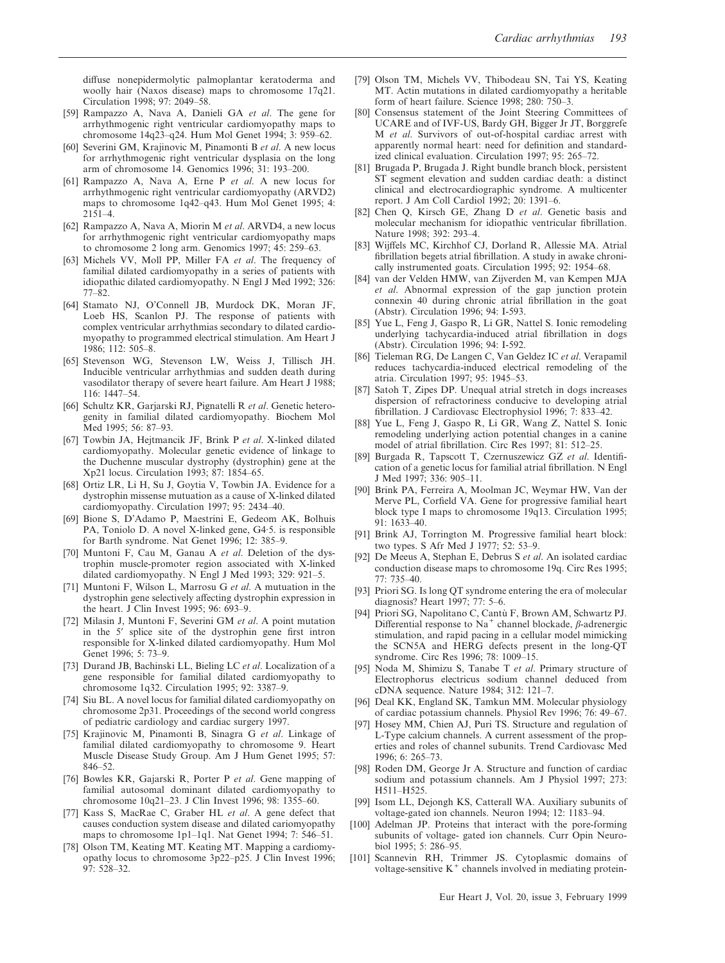diffuse nonepidermolytic palmoplantar keratoderma and woolly hair (Naxos disease) maps to chromosome 17q21. Circulation 1998; 97: 2049–58.

- <span id="page-19-17"></span>[59] Rampazzo A, Nava A, Danieli GA *et al*. The gene for arrhythmogenic right ventricular cardiomyopathy maps to chromosome 14q23–q24. Hum Mol Genet 1994; 3: 959–62.
- <span id="page-19-16"></span>[60] Severini GM, Krajinovic M, Pinamonti B *et al*. A new locus for arrhythmogenic right ventricular dysplasia on the long arm of chromosome 14. Genomics 1996; 31: 193–200.
- <span id="page-19-15"></span>[61] Rampazzo A, Nava A, Erne P *et al*. A new locus for arrhythmogenic right ventricular cardiomyopathy (ARVD2) maps to chromosome 1q42–q43. Hum Mol Genet 1995; 4: 2151–4.
- <span id="page-19-18"></span>[62] Rampazzo A, Nava A, Miorin M *et al*. ARVD4, a new locus for arrhythmogenic right ventricular cardiomyopathy maps to chromosome 2 long arm. Genomics 1997; 45: 259–63.
- <span id="page-19-20"></span>[63] Michels VV, Moll PP, Miller FA *et al*. The frequency of familial dilated cardiomyopathy in a series of patients with idiopathic dilated cardiomyopathy. N Engl J Med 1992; 326: 77–82.
- <span id="page-19-21"></span>[64] Stamato NJ, O'Connell JB, Murdock DK, Moran JF, Loeb HS, Scanlon PJ. The response of patients with complex ventricular arrhythmias secondary to dilated cardiomyopathy to programmed electrical stimulation. Am Heart J 1986; 112: 505–8.
- <span id="page-19-22"></span>[65] Stevenson WG, Stevenson LW, Weiss J, Tillisch JH. Inducible ventricular arrhythmias and sudden death during vasodilator therapy of severe heart failure. Am Heart J 1988; 116: 1447–54.
- <span id="page-19-23"></span>[66] Schultz KR, Garjarski RJ, Pignatelli R *et al*. Genetic heterogenity in familial dilated cardiomyopathy. Biochem Mol Med 1995: 56: 87–93.
- <span id="page-19-24"></span>[67] Towbin JA, Hejtmancik JF, Brink P *et al*. X-linked dilated cardiomyopathy. Molecular genetic evidence of linkage to the Duchenne muscular dystrophy (dystrophin) gene at the Xp21 locus. Circulation 1993; 87: 1854–65.
- <span id="page-19-3"></span>[68] Ortiz LR, Li H, Su J, Goytia V, Towbin JA. Evidence for a dystrophin missense mutuation as a cause of X-linked dilated cardiomyopathy. Circulation 1997; 95: 2434–40.
- <span id="page-19-4"></span>[69] Bione S, D'Adamo P, Maestrini E, Gedeom AK, Bolhuis PA, Toniolo D. A novel X-linked gene, G4·5. is responsible for Barth syndrome. Nat Genet 1996; 12: 385–9.
- <span id="page-19-0"></span>[70] Muntoni F, Cau M, Ganau A *et al*. Deletion of the dystrophin muscle-promoter region associated with X-linked dilated cardiomyopathy. N Engl J Med 1993; 329: 921–5.
- <span id="page-19-1"></span>[71] Muntoni F, Wilson L, Marrosu G *et al*. A mutuation in the dystrophin gene selectively affecting dystrophin expression in the heart. J Clin Invest 1995; 96: 693–9.
- <span id="page-19-2"></span>[72] Milasin J, Muntoni F, Severini GM *et al*. A point mutation in the 5\* splice site of the dystrophin gene first intron responsible for X-linked dilated cardiomyopathy. Hum Mol Genet 1996; 5: 73–9.
- <span id="page-19-5"></span>[73] Durand JB, Bachinski LL, Bieling LC *et al*. Localization of a gene responsible for familial dilated cardiomyopathy to chromosome 1q32. Circulation 1995; 92: 3387–9.
- <span id="page-19-6"></span>[74] Siu BL. A novel locus for familial dilated cardiomyopathy on chromosome 2p31. Proceedings of the second world congress of pediatric cardiology and cardiac surgery 1997.
- <span id="page-19-7"></span>[75] Krajinovic M, Pinamonti B, Sinagra G *et al*. Linkage of familial dilated cardiomyopathy to chromosome 9. Heart Muscle Disease Study Group. Am J Hum Genet 1995; 57: 846–52.
- <span id="page-19-8"></span>[76] Bowles KR, Gajarski R, Porter P *et al*. Gene mapping of familial autosomal dominant dilated cardiomyopathy to chromosome 10q21–23. J Clin Invest 1996; 98: 1355–60.
- <span id="page-19-11"></span>[77] Kass S, MacRae C, Graber HL *et al*. A gene defect that causes conduction system disease and dilated cariomyopathy maps to chromosome 1p1–1q1. Nat Genet 1994; 7: 546–51.
- <span id="page-19-9"></span>[78] Olson TM, Keating MT, Keating MT, Mapping a cardiomyopathy locus to chromosome 3p22–p25. J Clin Invest 1996; 97: 528–32.
- <span id="page-19-10"></span>[79] Olson TM, Michels VV, Thibodeau SN, Tai YS, Keating MT. Actin mutations in dilated cardiomyopathy a heritable form of heart failure. Science 1998; 280: 750–3.
- <span id="page-19-25"></span>[80] Consensus statement of the Joint Steering Committees of UCARE and of IVF-US, Bardy GH, Bigger Jr JT, Borggrefe M *et al*. Survivors of out-of-hospital cardiac arrest with apparently normal heart: need for definition and standardized clinical evaluation. Circulation 1997; 95: 265–72.
- <span id="page-19-26"></span>[81] Brugada P, Brugada J. Right bundle branch block, persistent ST segment elevation and sudden cardiac death: a distinct clinical and electrocardiographic syndrome. A multicenter report. J Am Coll Cardiol 1992; 20: 1391–6.
- <span id="page-19-19"></span>[82] Chen Q, Kirsch GE, Zhang D *et al*. Genetic basis and molecular mechanism for idiopathic ventricular fibrillation. Nature 1998; 392: 293–4.
- <span id="page-19-27"></span>[83] Wijffels MC, Kirchhof CJ, Dorland R, Allessie MA. Atrial fibrillation begets atrial fibrillation. A study in awake chronically instrumented goats. Circulation 1995; 92: 1954–68.
- [84] van der Velden HMW, van Zijverden M, van Kempen MJA *et al*. Abnormal expression of the gap junction protein connexin 40 during chronic atrial fibrillation in the goat (Abstr). Circulation 1996; 94: I-593.
- [85] Yue L, Feng J, Gaspo R, Li GR, Nattel S. Ionic remodeling underlying tachycardia-induced atrial fibrillation in dogs (Abstr). Circulation 1996; 94: I-592.
- [86] Tieleman RG, De Langen C, Van Geldez IC *et al*. Verapamil reduces tachycardia-induced electrical remodeling of the atria. Circulation 1997; 95: 1945–53.
- <span id="page-19-28"></span>[87] Satoh T, Zipes DP. Unequal atrial stretch in dogs increases dispersion of refractoriness conducive to developing atrial fibrillation. J Cardiovasc Electrophysiol 1996; 7: 833–42.
- <span id="page-19-29"></span>[88] Yue L, Feng J, Gaspo R, Li GR, Wang Z, Nattel S. Ionic remodeling underlying action potential changes in a canine model of atrial fibrillation. Circ Res 1997; 81: 512–25.
- <span id="page-19-12"></span>[89] Burgada R, Tapscott T, Czernuszewicz GZ *et al*. Identification of a genetic locus for familial atrial fibrillation. N Engl J Med 1997; 336: 905–11.
- <span id="page-19-13"></span>[90] Brink PA, Ferreira A, Moolman JC, Weymar HW, Van der Merve PL, Corfield VA. Gene for progressive familial heart block type I maps to chromosome 19q13. Circulation 1995; 91: 1633–40.
- <span id="page-19-30"></span>[91] Brink AJ, Torrington M. Progressive familial heart block: two types. S Afr Med J 1977; 52: 53–9.
- <span id="page-19-14"></span>[92] De Meeus A, Stephan E, Debrus S *et al*. An isolated cardiac conduction disease maps to chromosome 19q. Circ Res 1995; 77: 735–40.
- <span id="page-19-31"></span>[93] Priori SG. Is long QT syndrome entering the era of molecular diagnosis? Heart 1997; 77: 5–6.
- <span id="page-19-32"></span>[94] Priori SG, Napolitano C, Cantu` F, Brown AM, Schwartz PJ. Differential response to Na<sup>+</sup> channel blockade, *β*-adrenergic stimulation, and rapid pacing in a cellular model mimicking the SCN5A and HERG defects present in the long-QT syndrome. Circ Res 1996; 78: 1009–15.
- <span id="page-19-33"></span>[95] Noda M, Shimizu S, Tanabe T *et al*. Primary structure of Electrophorus electricus sodium channel deduced from cDNA sequence. Nature 1984; 312: 121–7.
- <span id="page-19-34"></span>[96] Deal KK, England SK, Tamkun MM. Molecular physiology of cardiac potassium channels. Physiol Rev 1996; 76: 49–67.
- [97] Hosey MM, Chien AJ, Puri TS. Structure and regulation of L-Type calcium channels. A current assessment of the properties and roles of channel subunits. Trend Cardiovasc Med 1996; 6: 265–73.
- <span id="page-19-35"></span>[98] Roden DM, George Jr A. Structure and function of cardiac sodium and potassium channels. Am J Physiol 1997; 273: H511–H525.
- <span id="page-19-36"></span>[99] Isom LL, Dejongh KS, Catterall WA. Auxiliary subunits of voltage-gated ion channels. Neuron 1994; 12: 1183–94.
- [100] Adelman JP. Proteins that interact with the pore-forming subunits of voltage- gated ion channels. Curr Opin Neurobiol 1995; 5: 286–95.
- <span id="page-19-37"></span>[101] Scannevin RH, Trimmer JS. Cytoplasmic domains of voltage-sensitive  $K^+$  channels involved in mediating protein-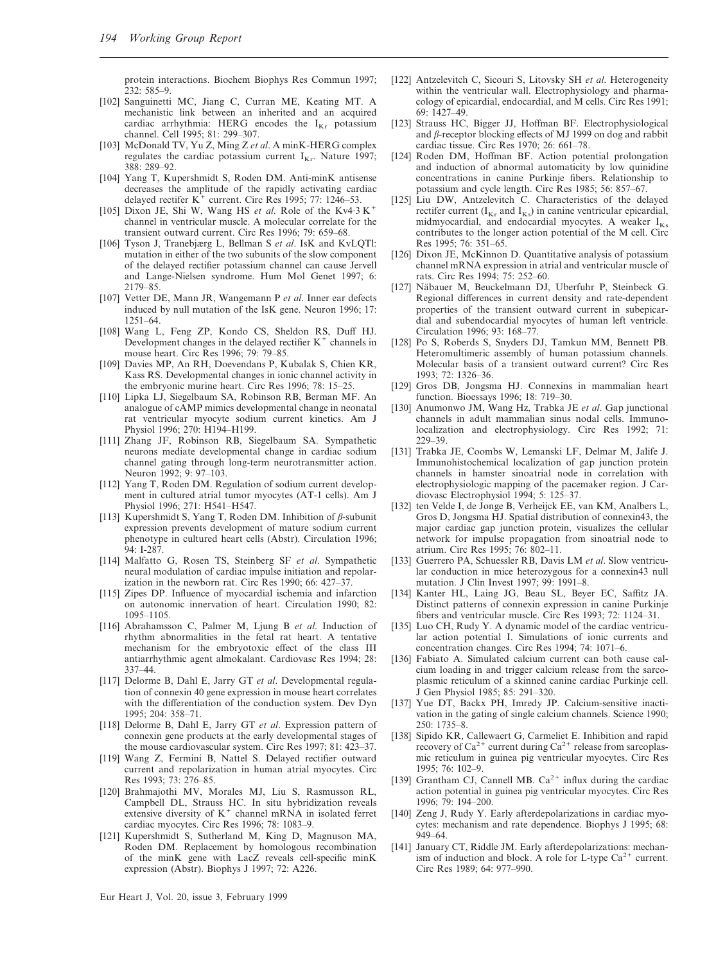protein interactions. Biochem Biophys Res Commun 1997;  $232.585 - 9$ 

- <span id="page-20-0"></span>[102] Sanguinetti MC, Jiang C, Curran ME, Keating MT. A mechanistic link between an inherited and an acquired cardiac arrhythmia: HERG encodes the  $I_{Kr}$  potassium channel. Cell 1995; 81: 299–307.
- <span id="page-20-1"></span>[103] McDonald TV, Yu Z, Ming Z *et al*. A minK-HERG complex regulates the cardiac potassium current  $I_{Kr}$ . Nature 1997; 388: 289–92.
- <span id="page-20-2"></span>[104] Yang T, Kupershmidt S, Roden DM. Anti-minK antisense decreases the amplitude of the rapidly activating cardiac delayed rectifer K<sup>+</sup> current. Circ Res 1995; 77: 1246-53.
- <span id="page-20-3"></span>[105] Dixon JE, Shi W, Wang HS *et al*. Role of the Kv4·3 K<sup>+</sup> channel in ventricular muscle. A molecular correlate for the transient outward current. Circ Res 1996; 79: 659–68.
- <span id="page-20-4"></span>[106] Tyson J, Tranebjærg L, Bellman S *et al*. IsK and KvLQTl: mutation in either of the two subunits of the slow component of the delayed rectifier potassium channel can cause Jervell and Lange-Nielsen syndrome. Hum Mol Genet 1997; 6: 2179–85.
- <span id="page-20-5"></span>[107] Vetter DE, Mann JR, Wangemann P *et al*. Inner ear defects induced by null mutation of the IsK gene. Neuron 1996; 17: 1251–64.
- <span id="page-20-6"></span>[108] Wang L, Feng ZP, Kondo CS, Sheldon RS, Duff HJ. Development changes in the delayed rectifier  $K^+$  channels in mouse heart. Circ Res 1996; 79: 79–85.
- <span id="page-20-7"></span>[109] Davies MP, An RH, Doevendans P, Kubalak S, Chien KR, Kass RS. Developmental changes in ionic channel activity in the embryonic murine heart. Circ Res 1996; 78: 15–25.
- <span id="page-20-8"></span>[110] Lipka LJ, Siegelbaum SA, Robinson RB, Berman MF. An analogue of cAMP mimics developmental change in neonatal rat ventricular myocyte sodium current kinetics. Am J Physiol 1996; 270: H194–H199.
- <span id="page-20-9"></span>[111] Zhang JF, Robinson RB, Siegelbaum SA. Sympathetic neurons mediate developmental change in cardiac sodium channel gating through long-term neurotransmitter action. Neuron 1992; 9: 97–103.
- <span id="page-20-10"></span>[112] Yang T, Roden DM. Regulation of sodium current development in cultured atrial tumor myocytes (AT-1 cells). Am J Physiol 1996; 271: H541–H547.
- <span id="page-20-11"></span>[113] Kupershmidt S, Yang T, Roden DM. Inhibition of *â*-subunit expression prevents development of mature sodium current phenotype in cultured heart cells (Abstr). Circulation 1996; 94: I-287.
- <span id="page-20-12"></span>[114] Malfatto G, Rosen TS, Steinberg SF *et al*. Sympathetic neural modulation of cardiac impulse initiation and repolarization in the newborn rat. Circ Res 1990; 66: 427–37.
- <span id="page-20-13"></span>[115] Zipes DP. Influence of myocardial ischemia and infarction on autonomic innervation of heart. Circulation 1990; 82: 1095–1105.
- <span id="page-20-14"></span>[116] Abrahamsson C, Palmer M, Ljung B *et al*. Induction of rhythm abnormalities in the fetal rat heart. A tentative mechanism for the embryotoxic effect of the class III antiarrhythmic agent almokalant. Cardiovasc Res 1994; 28: 337–44.
- <span id="page-20-15"></span>[117] Delorme B, Dahl E, Jarry GT *et al*. Developmental regulation of connexin 40 gene expression in mouse heart correlates with the differentiation of the conduction system. Dev Dyn 1995; 204: 358–71.
- <span id="page-20-16"></span>[118] Delorme B, Dahl E, Jarry GT *et al*. Expression pattern of connexin gene products at the early developmental stages of the mouse cardiovascular system. Circ Res 1997; 81: 423–37.
- <span id="page-20-17"></span>[119] Wang Z, Fermini B, Nattel S. Delayed rectifier outward current and repolarization in human atrial myocytes. Circ Res 1993; 73: 276–85.
- <span id="page-20-18"></span>[120] Brahmajothi MV, Morales MJ, Liu S, Rasmusson RL, Campbell DL, Strauss HC. In situ hybridization reveals extensive diversity of K<sup>+</sup> channel mRNA in isolated ferret cardiac myocytes. Circ Res 1996; 78: 1083–9.
- <span id="page-20-19"></span>[121] Kupershmidt S, Sutherland M, King D, Magnuson MA, Roden DM. Replacement by homologous recombination of the minK gene with LacZ reveals cell-specific minK expression (Abstr). Biophys J 1997; 72: A226.
- <span id="page-20-20"></span>[122] Antzelevitch C, Sicouri S, Litovsky SH *et al*. Heterogeneity within the ventricular wall. Electrophysiology and pharmacology of epicardial, endocardial, and M cells. Circ Res 1991; 69: 1427–49.
- <span id="page-20-21"></span>[123] Strauss HC, Bigger JJ, Hoffman BF. Electrophysiological and *â*-receptor blocking effects of MJ 1999 on dog and rabbit cardiac tissue. Circ Res 1970; 26: 661–78.
- [124] Roden DM, Hoffman BF. Action potential prolongation and induction of abnormal automaticity by low quinidine concentrations in canine Purkinje fibers. Relationship to potassium and cycle length. Circ Res 1985; 56: 857–67.
- <span id="page-20-22"></span>[125] Liu DW, Antzelevitch C. Characteristics of the delayed rectifer current  $(I_{Kr}$  and  $I_{Ks}$ ) in canine ventricular epicardial, midmyocardial, and endocardial myocytes. A weaker  $I_{Ks}$ contributes to the longer action potential of the M cell. Circ Res 1995; 76: 351–65.
- <span id="page-20-23"></span>[126] Dixon JE, McKinnon D. Quantitative analysis of potassium channel mRNA expression in atrial and ventricular muscle of rats. Circ Res 1994; 75: 252–60.
- <span id="page-20-24"></span>[127] Näbauer M, Beuckelmann DJ, Uberfuhr P, Steinbeck G. Regional differences in current density and rate-dependent properties of the transient outward current in subepicardial and subendocardial myocytes of human left ventricle. Circulation 1996; 93: 168–77.
- <span id="page-20-25"></span>[128] Po S, Roberds S, Snyders DJ, Tamkun MM, Bennett PB. Heteromultimeric assembly of human potassium channels. Molecular basis of a transient outward current? Circ Res 1993; 72: 1326–36.
- <span id="page-20-26"></span>[129] Gros DB, Jongsma HJ. Connexins in mammalian heart function. Bioessays 1996; 18: 719–30.
- <span id="page-20-27"></span>[130] Anumonwo JM, Wang Hz, Trabka JE *et al*. Gap junctional channels in adult mammalian sinus nodal cells. Immunolocalization and electrophysiology. Circ Res 1992; 71: 229–39.
- <span id="page-20-28"></span>[131] Trabka JE, Coombs W, Lemanski LF, Delmar M, Jalife J. Immunohistochemical localization of gap junction protein channels in hamster sinoatrial node in correlation with electrophysiologic mapping of the pacemaker region. J Cardiovasc Electrophysiol 1994; 5: 125–37.
- <span id="page-20-29"></span>[132] ten Velde I, de Jonge B, Verheijck EE, van KM, Analbers L, Gros D, Jongsma HJ. Spatial distribution of connexin43, the major cardiac gap junction protein, visualizes the cellular network for impulse propagation from sinoatrial node to atrium. Circ Res 1995; 76: 802–11.
- <span id="page-20-30"></span>[133] Guerrero PA, Schuessler RB, Davis LM *et al*. Slow ventricular conduction in mice heterozygous for a connexin43 null mutation. J Clin Invest 1997; 99: 1991–8.
- <span id="page-20-31"></span>[134] Kanter HL, Laing JG, Beau SL, Beyer EC, Saffitz JA. Distinct patterns of connexin expression in canine Purkinje fibers and ventricular muscle. Circ Res 1993; 72: 1124–31.
- <span id="page-20-32"></span>[135] Luo CH, Rudy Y. A dynamic model of the cardiac ventricular action potential I. Simulations of ionic currents and concentration changes. Circ Res 1994; 74: 1071–6.
- <span id="page-20-33"></span>[136] Fabiato A. Simulated calcium current can both cause calcium loading in and trigger calcium release from the sarcoplasmic reticulum of a skinned canine cardiac Purkinje cell. J Gen Physiol 1985; 85: 291–320.
- <span id="page-20-34"></span>[137] Yue DT, Backx PH, Imredy JP. Calcium-sensitive inactivation in the gating of single calcium channels. Science 1990; 250: 1735–8.
- <span id="page-20-36"></span>[138] Sipido KR, Callewaert G, Carmeliet E. Inhibition and rapid recovery of  $Ca^{2+}$  current during  $Ca^{2+}$  release from sarcoplasmic reticulum in guinea pig ventricular myocytes. Circ Res 1995; 76: 102–9.
- <span id="page-20-35"></span>[139] Grantham CJ, Cannell MB.  $Ca^{2+}$  influx during the cardiac action potential in guinea pig ventricular myocytes. Circ Res 1996; 79: 194–200.
- [140] Zeng J, Rudy Y. Early afterdepolarizations in cardiac myocytes: mechanism and rate dependence. Biophys J 1995; 68: 949–64.
- <span id="page-20-37"></span>[141] January CT, Riddle JM. Early afterdepolarizations: mechanism of induction and block. A role for L-type  $Ca^{2+}$  current. Circ Res 1989; 64: 977–990.